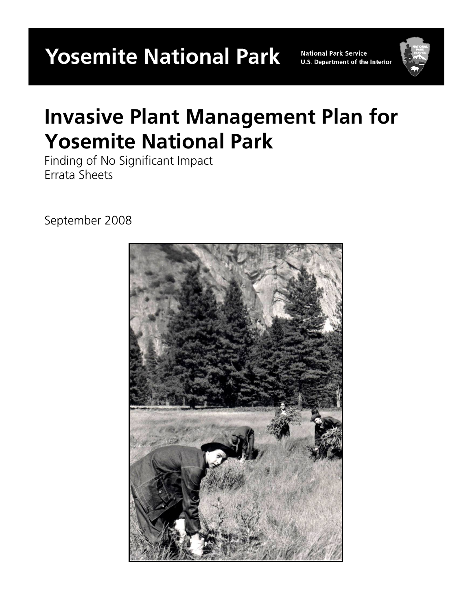**Yosemite National Park** 

**National Park Service U.S. Department of the Interior** 



# **Invasive Plant Management Plan for Yosemite National Park**

Finding of No Significant Impact Errata Sheets

September 2008

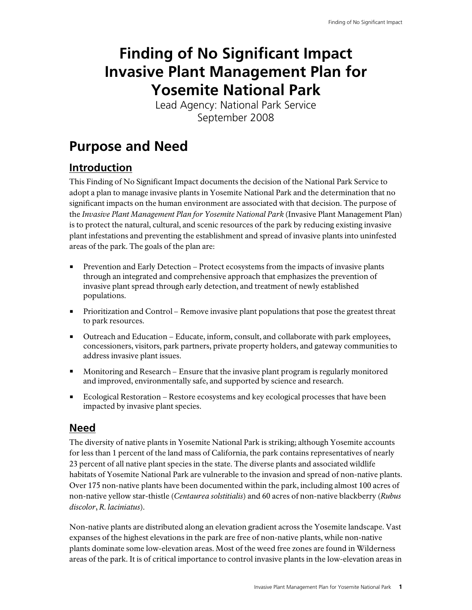## **Finding of No Significant Impact Invasive Plant Management Plan for Yosemite National Park**

Lead Agency: National Park Service September 2008

## **Purpose and Need**

## **Introduction**

This Finding of No Significant Impact documents the decision of the National Park Service to adopt a plan to manage invasive plants in Yosemite National Park and the determination that no significant impacts on the human environment are associated with that decision. The purpose of the *Invasive Plant Management Plan for Yosemite National Park* (Invasive Plant Management Plan) is to protect the natural, cultural, and scenic resources of the park by reducing existing invasive plant infestations and preventing the establishment and spread of invasive plants into uninfested areas of the park. The goals of the plan are:

- Prevention and Early Detection Protect ecosystems from the impacts of invasive plants through an integrated and comprehensive approach that emphasizes the prevention of invasive plant spread through early detection, and treatment of newly established populations.
- Prioritization and Control Remove invasive plant populations that pose the greatest threat to park resources.
- Outreach and Education Educate, inform, consult, and collaborate with park employees, concessioners, visitors, park partners, private property holders, and gateway communities to address invasive plant issues.
- Monitoring and Research Ensure that the invasive plant program is regularly monitored and improved, environmentally safe, and supported by science and research.
- **Ecological Restoration Restore ecosystems and key ecological processes that have been** impacted by invasive plant species.

### **Need**

The diversity of native plants in Yosemite National Park is striking; although Yosemite accounts for less than 1 percent of the land mass of California, the park contains representatives of nearly 23 percent of all native plant species in the state. The diverse plants and associated wildlife habitats of Yosemite National Park are vulnerable to the invasion and spread of non-native plants. Over 175 non-native plants have been documented within the park, including almost 100 acres of non-native yellow star-thistle (*Centaurea solstitialis*) and 60 acres of non-native blackberry (*Rubus discolor*, *R. laciniatus*).

Non-native plants are distributed along an elevation gradient across the Yosemite landscape. Vast expanses of the highest elevations in the park are free of non-native plants, while non-native plants dominate some low-elevation areas. Most of the weed free zones are found in Wilderness areas of the park. It is of critical importance to control invasive plants in the low-elevation areas in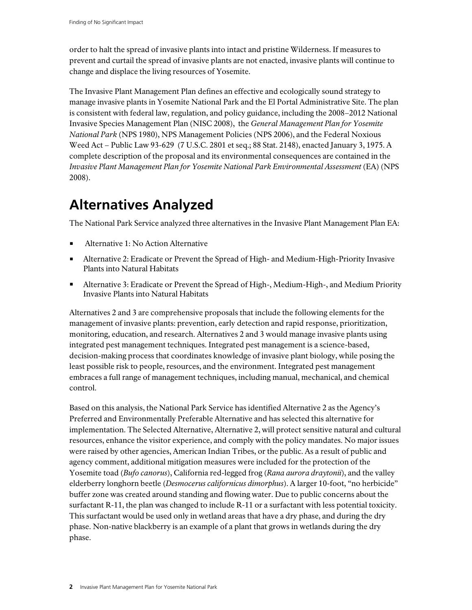order to halt the spread of invasive plants into intact and pristine Wilderness. If measures to prevent and curtail the spread of invasive plants are not enacted, invasive plants will continue to change and displace the living resources of Yosemite.

The Invasive Plant Management Plan defines an effective and ecologically sound strategy to manage invasive plants in Yosemite National Park and the El Portal Administrative Site. The plan is consistent with federal law, regulation, and policy guidance, including the 2008–2012 National Invasive Species Management Plan (NISC 2008), the *General Management Plan for Yosemite National Park* (NPS 1980), NPS Management Policies (NPS 2006), and the Federal Noxious Weed Act – Public Law 93-629 (7 U.S.C. 2801 et seq.; 88 Stat. 2148), enacted January 3, 1975. A complete description of the proposal and its environmental consequences are contained in the *Invasive Plant Management Plan for Yosemite National Park Environmental Assessment* (EA) (NPS 2008).

## **Alternatives Analyzed**

The National Park Service analyzed three alternatives in the Invasive Plant Management Plan EA:

- Alternative 1: No Action Alternative
- Alternative 2: Eradicate or Prevent the Spread of High- and Medium-High-Priority Invasive Plants into Natural Habitats
- Alternative 3: Eradicate or Prevent the Spread of High-, Medium-High-, and Medium Priority Invasive Plants into Natural Habitats

Alternatives 2 and 3 are comprehensive proposals that include the following elements for the management of invasive plants: prevention, early detection and rapid response, prioritization, monitoring, education, and research. Alternatives 2 and 3 would manage invasive plants using integrated pest management techniques. Integrated pest management is a science-based, decision-making process that coordinates knowledge of invasive plant biology, while posing the least possible risk to people, resources, and the environment. Integrated pest management embraces a full range of management techniques, including manual, mechanical, and chemical control.

Based on this analysis, the National Park Service has identified Alternative 2 as the Agency's Preferred and Environmentally Preferable Alternative and has selected this alternative for implementation. The Selected Alternative, Alternative 2, will protect sensitive natural and cultural resources, enhance the visitor experience, and comply with the policy mandates. No major issues were raised by other agencies, American Indian Tribes, or the public. As a result of public and agency comment, additional mitigation measures were included for the protection of the Yosemite toad (*Bufo canorus*), California red-legged frog (*Rana aurora draytonii*), and the valley elderberry longhorn beetle (*Desmocerus californicus dimorphus*). A larger 10-foot, "no herbicide" buffer zone was created around standing and flowing water. Due to public concerns about the surfactant R-11, the plan was changed to include R-11 or a surfactant with less potential toxicity. This surfactant would be used only in wetland areas that have a dry phase, and during the dry phase. Non-native blackberry is an example of a plant that grows in wetlands during the dry phase.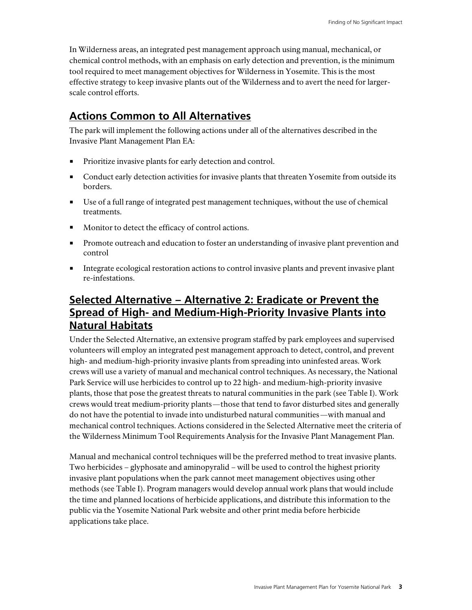In Wilderness areas, an integrated pest management approach using manual, mechanical, or chemical control methods, with an emphasis on early detection and prevention, is the minimum tool required to meet management objectives for Wilderness in Yosemite. This is the most effective strategy to keep invasive plants out of the Wilderness and to avert the need for largerscale control efforts.

### **Actions Common to All Alternatives**

The park will implement the following actions under all of the alternatives described in the Invasive Plant Management Plan EA:

- **Prioritize invasive plants for early detection and control.**
- Conduct early detection activities for invasive plants that threaten Yosemite from outside its borders.
- Use of a full range of integrated pest management techniques, without the use of chemical treatments.
- **Monitor to detect the efficacy of control actions.**
- **Promote outreach and education to foster an understanding of invasive plant prevention and** control
- Integrate ecological restoration actions to control invasive plants and prevent invasive plant re-infestations.

## **Selected Alternative – Alternative 2: Eradicate or Prevent the Spread of High- and Medium-High-Priority Invasive Plants into Natural Habitats**

Under the Selected Alternative, an extensive program staffed by park employees and supervised volunteers will employ an integrated pest management approach to detect, control, and prevent high- and medium-high-priority invasive plants from spreading into uninfested areas. Work crews will use a variety of manual and mechanical control techniques. As necessary, the National Park Service will use herbicides to control up to 22 high- and medium-high-priority invasive plants, those that pose the greatest threats to natural communities in the park (see Table I). Work crews would treat medium-priority plants—those that tend to favor disturbed sites and generally do not have the potential to invade into undisturbed natural communities—with manual and mechanical control techniques. Actions considered in the Selected Alternative meet the criteria of the Wilderness Minimum Tool Requirements Analysis for the Invasive Plant Management Plan.

Manual and mechanical control techniques will be the preferred method to treat invasive plants. Two herbicides – glyphosate and aminopyralid – will be used to control the highest priority invasive plant populations when the park cannot meet management objectives using other methods (see Table I). Program managers would develop annual work plans that would include the time and planned locations of herbicide applications, and distribute this information to the public via the Yosemite National Park website and other print media before herbicide applications take place.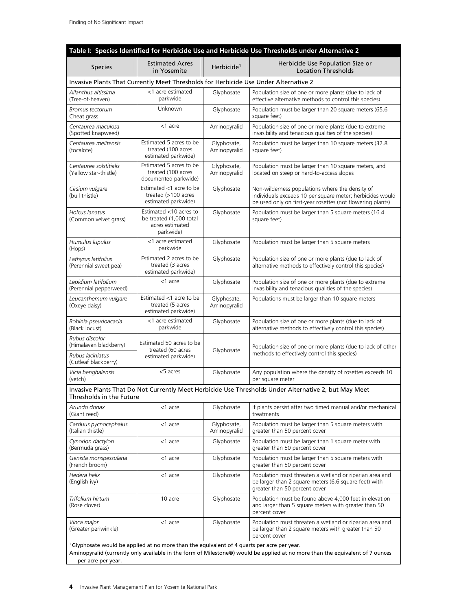| Table I: Species Identified for Herbicide Use and Herbicide Use Thresholds under Alternative 2 |                                                                                                        |                             |                                                                                                                                                                            |  |  |  |
|------------------------------------------------------------------------------------------------|--------------------------------------------------------------------------------------------------------|-----------------------------|----------------------------------------------------------------------------------------------------------------------------------------------------------------------------|--|--|--|
| Species                                                                                        | <b>Estimated Acres</b><br>in Yosemite                                                                  | Herbicide <sup>1</sup>      | Herbicide Use Population Size or<br><b>Location Thresholds</b>                                                                                                             |  |  |  |
|                                                                                                | Invasive Plants That Currently Meet Thresholds for Herbicide Use Under Alternative 2                   |                             |                                                                                                                                                                            |  |  |  |
| Ailanthus altissima<br>(Tree-of-heaven)                                                        | <1 acre estimated<br>parkwide                                                                          | Glyphosate                  | Population size of one or more plants (due to lack of<br>effective alternative methods to control this species)                                                            |  |  |  |
| Bromus tectorum<br>Cheat grass                                                                 | Unknown                                                                                                | Glyphosate                  | Population must be larger than 20 square meters (65.6<br>square feet)                                                                                                      |  |  |  |
| Centaurea maculosa<br>(Spotted knapweed)                                                       | <1 acre                                                                                                | Aminopyralid                | Population size of one or more plants (due to extreme<br>invasibility and tenacious qualities of the species)                                                              |  |  |  |
| Centaurea melitensis<br>(tocalote)                                                             | Estimated 5 acres to be<br>treated (100 acres<br>estimated parkwide)                                   | Glyphosate,<br>Aminopyralid | Population must be larger than 10 square meters (32.8)<br>square feet)                                                                                                     |  |  |  |
| Centaurea solstitialis<br>(Yellow star-thistle)                                                | Estimated 5 acres to be<br>treated (100 acres<br>documented parkwide)                                  | Glyphosate,<br>Aminopyralid | Population must be larger than 10 square meters, and<br>located on steep or hard-to-access slopes                                                                          |  |  |  |
| Cirsium vulgare<br>(bull thistle)                                                              | Estimated <1 acre to be<br>treated $(>100$ acres<br>estimated parkwide)                                | Glyphosate                  | Non-wilderness populations where the density of<br>individuals exceeds 10 per square meter; herbicides would<br>be used only on first-year rosettes (not flowering plants) |  |  |  |
| Holcus lanatus<br>(Common velvet grass)                                                        | Estimated $<$ 10 acres to<br>be treated (1,000 total<br>acres estimated<br>parkwide)                   | Glyphosate                  | Population must be larger than 5 square meters (16.4<br>square feet)                                                                                                       |  |  |  |
| Humulus lupulus<br>(Hops)                                                                      | <1 acre estimated<br>parkwide                                                                          | Glyphosate                  | Population must be larger than 5 square meters                                                                                                                             |  |  |  |
| Lathyrus latifolius<br>(Perennial sweet pea)                                                   | Estimated 2 acres to be<br>treated (3 acres<br>estimated parkwide)                                     | Glyphosate                  | Population size of one or more plants (due to lack of<br>alternative methods to effectively control this species)                                                          |  |  |  |
| Lepidium latifolium<br>(Perennial pepperweed)                                                  | <1 acre                                                                                                | Glyphosate                  | Population size of one or more plants (due to extreme<br>invasibility and tenacious qualities of the species)                                                              |  |  |  |
| Leucanthemum vulgare<br>(Oxeye daisy)                                                          | Estimated <1 acre to be<br>treated (5 acres<br>estimated parkwide)                                     | Glyphosate,<br>Aminopyralid | Populations must be larger than 10 square meters                                                                                                                           |  |  |  |
| Robinia pseudoacacia<br>(Black locust)                                                         | <1 acre estimated<br>parkwide                                                                          | Glyphosate                  | Population size of one or more plants (due to lack of<br>alternative methods to effectively control this species)                                                          |  |  |  |
| Rubus discolor<br>(Himalayan blackberry)<br>Rubus laciniatus                                   | Estimated 50 acres to be<br>treated (60 acres                                                          | Glyphosate                  | Population size of one or more plants (due to lack of other<br>methods to effectively control this species)                                                                |  |  |  |
| (Cutleaf blackberry)                                                                           | estimated parkwide)                                                                                    |                             |                                                                                                                                                                            |  |  |  |
| Vicia benghalensis<br>(vetch)                                                                  | <5 acres                                                                                               | Glyphosate                  | Any population where the density of rosettes exceeds 10<br>per square meter                                                                                                |  |  |  |
| Thresholds in the Future                                                                       |                                                                                                        |                             | Invasive Plants That Do Not Currently Meet Herbicide Use Thresholds Under Alternative 2, but May Meet                                                                      |  |  |  |
| Arundo donax<br>(Giant reed)                                                                   | <1 acre                                                                                                | Glyphosate                  | If plants persist after two timed manual and/or mechanical<br>treatments                                                                                                   |  |  |  |
| Carduus pycnocephalus<br>(Italian thistle)                                                     | <1 acre                                                                                                | Glyphosate,<br>Aminopyralid | Population must be larger than 5 square meters with<br>greater than 50 percent cover                                                                                       |  |  |  |
| Cynodon dactylon<br>(Bermuda grass)                                                            | <1 acre                                                                                                | Glyphosate                  | Population must be larger than 1 square meter with<br>greater than 50 percent cover                                                                                        |  |  |  |
| Genista monspessulana<br>(French broom)                                                        | <1 acre                                                                                                | Glyphosate                  | Population must be larger than 5 square meters with<br>greater than 50 percent cover                                                                                       |  |  |  |
| Hedera helix<br>(English ivy)                                                                  | <1 acre                                                                                                | Glyphosate                  | Population must threaten a wetland or riparian area and<br>be larger than 2 square meters (6.6 square feet) with<br>greater than 50 percent cover                          |  |  |  |
| Trifolium hirtum<br>(Rose clover)                                                              | 10 acre                                                                                                | Glyphosate                  | Population must be found above 4,000 feet in elevation<br>and larger than 5 square meters with greater than 50<br>percent cover                                            |  |  |  |
| Vinca major<br>(Greater periwinkle)                                                            | <1 acre                                                                                                | Glyphosate                  | Population must threaten a wetland or riparian area and<br>be larger than 2 square meters with greater than 50<br>percent cover                                            |  |  |  |
| per acre per year.                                                                             | <sup>1</sup> Glyphosate would be applied at no more than the equivalent of 4 quarts per acre per year. |                             | Aminopyralid (currently only available in the form of Milestone®) would be applied at no more than the equivalent of 7 ounces                                              |  |  |  |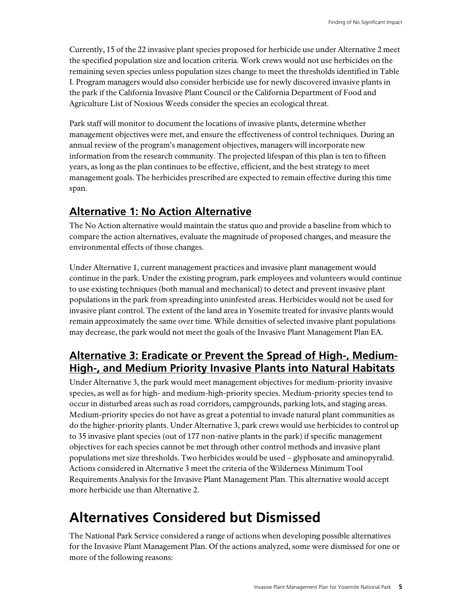Currently, 15 of the 22 invasive plant species proposed for herbicide use under Alternative 2 meet the specified population size and location criteria. Work crews would not use herbicides on the remaining seven species unless population sizes change to meet the thresholds identified in Table I. Program managers would also consider herbicide use for newly discovered invasive plants in the park if the California Invasive Plant Council or the California Department of Food and Agriculture List of Noxious Weeds consider the species an ecological threat.

Park staff will monitor to document the locations of invasive plants, determine whether management objectives were met, and ensure the effectiveness of control techniques. During an annual review of the program's management objectives, managers will incorporate new information from the research community. The projected lifespan of this plan is ten to fifteen years, as long as the plan continues to be effective, efficient, and the best strategy to meet management goals. The herbicides prescribed are expected to remain effective during this time span.

#### **Alternative 1: No Action Alternative**

The No Action alternative would maintain the status quo and provide a baseline from which to compare the action alternatives, evaluate the magnitude of proposed changes, and measure the environmental effects of those changes.

Under Alternative 1, current management practices and invasive plant management would continue in the park. Under the existing program, park employees and volunteers would continue to use existing techniques (both manual and mechanical) to detect and prevent invasive plant populations in the park from spreading into uninfested areas. Herbicides would not be used for invasive plant control. The extent of the land area in Yosemite treated for invasive plants would remain approximately the same over time. While densities of selected invasive plant populations may decrease, the park would not meet the goals of the Invasive Plant Management Plan EA.

#### **Alternative 3: Eradicate or Prevent the Spread of High-, Medium-High-, and Medium Priority Invasive Plants into Natural Habitats**

Under Alternative 3, the park would meet management objectives for medium-priority invasive species, as well as for high- and medium-high-priority species. Medium-priority species tend to occur in disturbed areas such as road corridors, campgrounds, parking lots, and staging areas. Medium-priority species do not have as great a potential to invade natural plant communities as do the higher-priority plants. Under Alternative 3, park crews would use herbicides to control up to 35 invasive plant species (out of 177 non-native plants in the park) if specific management objectives for each species cannot be met through other control methods and invasive plant populations met size thresholds. Two herbicides would be used – glyphosate and aminopyralid. Actions considered in Alternative 3 meet the criteria of the Wilderness Minimum Tool Requirements Analysis for the Invasive Plant Management Plan. This alternative would accept more herbicide use than Alternative 2.

## **Alternatives Considered but Dismissed**

The National Park Service considered a range of actions when developing possible alternatives for the Invasive Plant Management Plan. Of the actions analyzed, some were dismissed for one or more of the following reasons: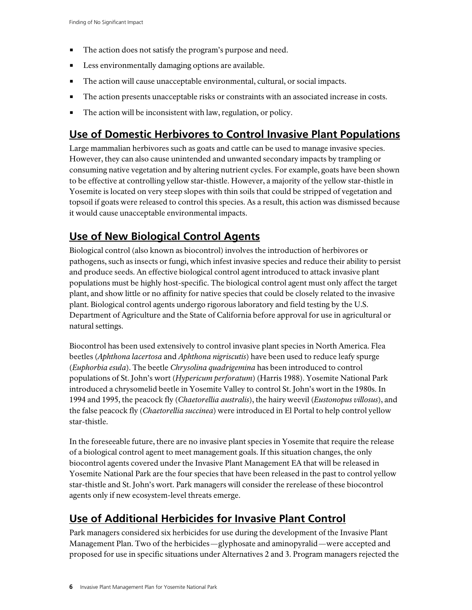- The action does not satisfy the program's purpose and need.
- **Less environmentally damaging options are available.**
- The action will cause unacceptable environmental, cultural, or social impacts.
- The action presents unacceptable risks or constraints with an associated increase in costs.
- The action will be inconsistent with law, regulation, or policy.

## **Use of Domestic Herbivores to Control Invasive Plant Populations**

Large mammalian herbivores such as goats and cattle can be used to manage invasive species. However, they can also cause unintended and unwanted secondary impacts by trampling or consuming native vegetation and by altering nutrient cycles. For example, goats have been shown to be effective at controlling yellow star-thistle. However, a majority of the yellow star-thistle in Yosemite is located on very steep slopes with thin soils that could be stripped of vegetation and topsoil if goats were released to control this species. As a result, this action was dismissed because it would cause unacceptable environmental impacts.

## **Use of New Biological Control Agents**

Biological control (also known as biocontrol) involves the introduction of herbivores or pathogens, such as insects or fungi, which infest invasive species and reduce their ability to persist and produce seeds. An effective biological control agent introduced to attack invasive plant populations must be highly host-specific. The biological control agent must only affect the target plant, and show little or no affinity for native species that could be closely related to the invasive plant. Biological control agents undergo rigorous laboratory and field testing by the U.S. Department of Agriculture and the State of California before approval for use in agricultural or natural settings.

Biocontrol has been used extensively to control invasive plant species in North America. Flea beetles (*Aphthona lacertosa* and *Aphthona nigriscutis*) have been used to reduce leafy spurge (*Euphorbia esula*). The beetle *Chrysolina quadrigemina* has been introduced to control populations of St. John's wort (*Hypericum perforatum*) (Harris 1988). Yosemite National Park introduced a chrysomelid beetle in Yosemite Valley to control St. John's wort in the 1980s. In 1994 and 1995, the peacock fly (*Chaetorellia australis*), the hairy weevil (*Eustonopus villosus*), and the false peacock fly (*Chaetorellia succinea*) were introduced in El Portal to help control yellow star-thistle.

In the foreseeable future, there are no invasive plant species in Yosemite that require the release of a biological control agent to meet management goals. If this situation changes, the only biocontrol agents covered under the Invasive Plant Management EA that will be released in Yosemite National Park are the four species that have been released in the past to control yellow star-thistle and St. John's wort. Park managers will consider the rerelease of these biocontrol agents only if new ecosystem-level threats emerge.

## **Use of Additional Herbicides for Invasive Plant Control**

Park managers considered six herbicides for use during the development of the Invasive Plant Management Plan. Two of the herbicides—glyphosate and aminopyralid—were accepted and proposed for use in specific situations under Alternatives 2 and 3. Program managers rejected the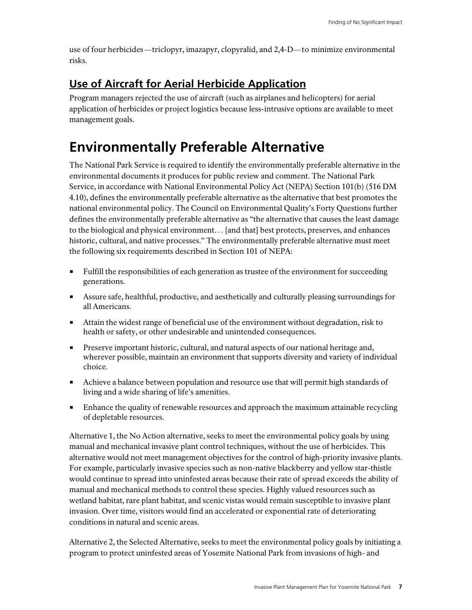use of four herbicides—triclopyr, imazapyr, clopyralid, and 2,4-D—to minimize environmental risks.

## **Use of Aircraft for Aerial Herbicide Application**

Program managers rejected the use of aircraft (such as airplanes and helicopters) for aerial application of herbicides or project logistics because less-intrusive options are available to meet management goals.

## **Environmentally Preferable Alternative**

The National Park Service is required to identify the environmentally preferable alternative in the environmental documents it produces for public review and comment. The National Park Service, in accordance with National Environmental Policy Act (NEPA) Section 101(b) (516 DM 4.10), defines the environmentally preferable alternative as the alternative that best promotes the national environmental policy. The Council on Environmental Quality's Forty Questions further defines the environmentally preferable alternative as "the alternative that causes the least damage to the biological and physical environment… [and that] best protects, preserves, and enhances historic, cultural, and native processes." The environmentally preferable alternative must meet the following six requirements described in Section 101 of NEPA:

- Fulfill the responsibilities of each generation as trustee of the environment for succeeding generations.
- Assure safe, healthful, productive, and aesthetically and culturally pleasing surroundings for all Americans.
- Attain the widest range of beneficial use of the environment without degradation, risk to health or safety, or other undesirable and unintended consequences.
- **Preserve important historic, cultural, and natural aspects of our national heritage and,** wherever possible, maintain an environment that supports diversity and variety of individual choice.
- Achieve a balance between population and resource use that will permit high standards of living and a wide sharing of life's amenities.
- **Enhance the quality of renewable resources and approach the maximum attainable recycling** of depletable resources.

Alternative 1, the No Action alternative, seeks to meet the environmental policy goals by using manual and mechanical invasive plant control techniques, without the use of herbicides. This alternative would not meet management objectives for the control of high-priority invasive plants. For example, particularly invasive species such as non-native blackberry and yellow star-thistle would continue to spread into uninfested areas because their rate of spread exceeds the ability of manual and mechanical methods to control these species. Highly valued resources such as wetland habitat, rare plant habitat, and scenic vistas would remain susceptible to invasive plant invasion. Over time, visitors would find an accelerated or exponential rate of deteriorating conditions in natural and scenic areas.

Alternative 2, the Selected Alternative, seeks to meet the environmental policy goals by initiating a program to protect uninfested areas of Yosemite National Park from invasions of high- and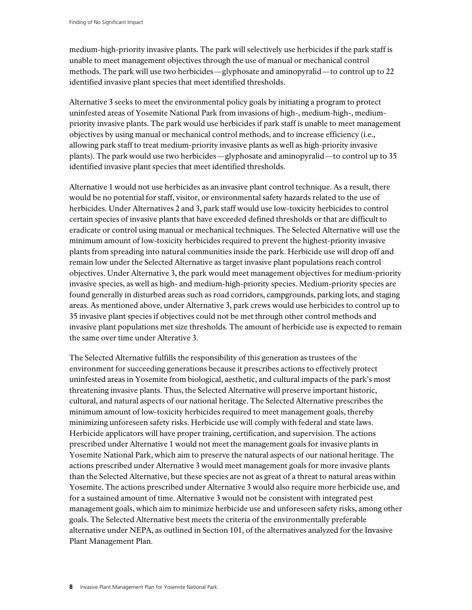medium-high-priority invasive plants. The park will selectively use herbicides if the park staff is unable to meet management objectives through the use of manual or mechanical control methods. The park will use two herbicides—glyphosate and aminopyralid—to control up to 22 identified invasive plant species that meet identified thresholds.

Alternative 3 seeks to meet the environmental policy goals by initiating a program to protect uninfested areas of Yosemite National Park from invasions of high-, medium-high-, mediumpriority invasive plants. The park would use herbicides if park staff is unable to meet management objectives by using manual or mechanical control methods, and to increase efficiency (i.e., allowing park staff to treat medium-priority invasive plants as well as high-priority invasive plants). The park would use two herbicides—glyphosate and aminopyralid—to control up to 35 identified invasive plant species that meet identified thresholds.

Alternative 1 would not use herbicides as an invasive plant control technique. As a result, there would be no potential for staff, visitor, or environmental safety hazards related to the use of herbicides. Under Alternatives 2 and 3, park staff would use low-toxicity herbicides to control certain species of invasive plants that have exceeded defined thresholds or that are difficult to eradicate or control using manual or mechanical techniques. The Selected Alternative will use the minimum amount of low-toxicity herbicides required to prevent the highest-priority invasive plants from spreading into natural communities inside the park. Herbicide use will drop off and remain low under the Selected Alternative as target invasive plant populations reach control objectives. Under Alternative 3, the park would meet management objectives for medium-priority invasive species, as well as high- and medium-high-priority species. Medium-priority species are found generally in disturbed areas such as road corridors, campgrounds, parking lots, and staging areas. As mentioned above, under Alternative 3, park crews would use herbicides to control up to 35 invasive plant species if objectives could not be met through other control methods and invasive plant populations met size thresholds. The amount of herbicide use is expected to remain the same over time under Alterative 3.

The Selected Alternative fulfills the responsibility of this generation as trustees of the environment for succeeding generations because it prescribes actions to effectively protect uninfested areas in Yosemite from biological, aesthetic, and cultural impacts of the park's most threatening invasive plants. Thus, the Selected Alternative will preserve important historic, cultural, and natural aspects of our national heritage. The Selected Alternative prescribes the minimum amount of low-toxicity herbicides required to meet management goals, thereby minimizing unforeseen safety risks. Herbicide use will comply with federal and state laws. Herbicide applicators will have proper training, certification, and supervision. The actions prescribed under Alternative 1 would not meet the management goals for invasive plants in Yosemite National Park, which aim to preserve the natural aspects of our national heritage. The actions prescribed under Alternative 3 would meet management goals for more invasive plants than the Selected Alternative, but these species are not as great of a threat to natural areas within Yosemite. The actions prescribed under Alternative 3 would also require more herbicide use, and for a sustained amount of time. Alternative 3 would not be consistent with integrated pest management goals, which aim to minimize herbicide use and unforeseen safety risks, among other goals. The Selected Alternative best meets the criteria of the environmentally preferable alternative under NEPA, as outlined in Section 101, of the alternatives analyzed for the Invasive Plant Management Plan.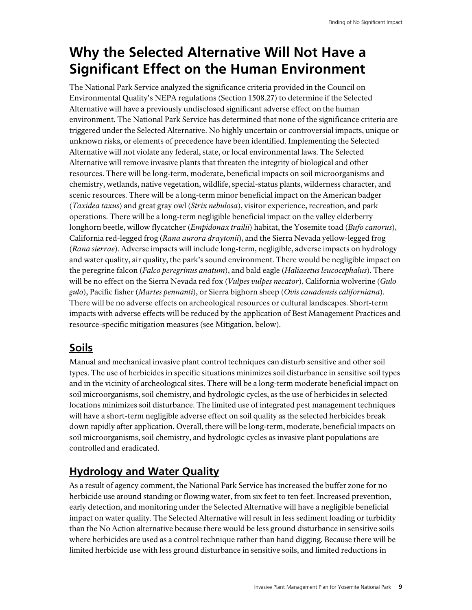## **Why the Selected Alternative Will Not Have a Significant Effect on the Human Environment**

The National Park Service analyzed the significance criteria provided in the Council on Environmental Quality's NEPA regulations (Section 1508.27) to determine if the Selected Alternative will have a previously undisclosed significant adverse effect on the human environment. The National Park Service has determined that none of the significance criteria are triggered under the Selected Alternative. No highly uncertain or controversial impacts, unique or unknown risks, or elements of precedence have been identified. Implementing the Selected Alternative will not violate any federal, state, or local environmental laws. The Selected Alternative will remove invasive plants that threaten the integrity of biological and other resources. There will be long-term, moderate, beneficial impacts on soil microorganisms and chemistry, wetlands, native vegetation, wildlife, special-status plants, wilderness character, and scenic resources. There will be a long-term minor beneficial impact on the American badger (*Taxidea taxus*) and great gray owl (*Strix nebulosa*), visitor experience, recreation, and park operations. There will be a long-term negligible beneficial impact on the valley elderberry longhorn beetle, willow flycatcher (*Empidonax trailii*) habitat, the Yosemite toad (*Bufo canorus*), California red-legged frog (*Rana aurora draytonii*), and the Sierra Nevada yellow-legged frog (*Rana sierrae*). Adverse impacts will include long-term, negligible, adverse impacts on hydrology and water quality, air quality, the park's sound environment. There would be negligible impact on the peregrine falcon (*Falco peregrinus anatum*), and bald eagle (*Haliaeetus leucocephalus*). There will be no effect on the Sierra Nevada red fox (*Vulpes vulpes necator*), California wolverine (*Gulo gulo*), Pacific fisher (*Martes pennanti*), or Sierra bighorn sheep (*Ovis canadensis californiana*). There will be no adverse effects on archeological resources or cultural landscapes. Short-term impacts with adverse effects will be reduced by the application of Best Management Practices and resource-specific mitigation measures (see Mitigation, below).

## **Soils**

Manual and mechanical invasive plant control techniques can disturb sensitive and other soil types. The use of herbicides in specific situations minimizes soil disturbance in sensitive soil types and in the vicinity of archeological sites. There will be a long-term moderate beneficial impact on soil microorganisms, soil chemistry, and hydrologic cycles, as the use of herbicides in selected locations minimizes soil disturbance. The limited use of integrated pest management techniques will have a short-term negligible adverse effect on soil quality as the selected herbicides break down rapidly after application. Overall, there will be long-term, moderate, beneficial impacts on soil microorganisms, soil chemistry, and hydrologic cycles as invasive plant populations are controlled and eradicated.

## **Hydrology and Water Quality**

As a result of agency comment, the National Park Service has increased the buffer zone for no herbicide use around standing or flowing water, from six feet to ten feet. Increased prevention, early detection, and monitoring under the Selected Alternative will have a negligible beneficial impact on water quality. The Selected Alternative will result in less sediment loading or turbidity than the No Action alternative because there would be less ground disturbance in sensitive soils where herbicides are used as a control technique rather than hand digging. Because there will be limited herbicide use with less ground disturbance in sensitive soils, and limited reductions in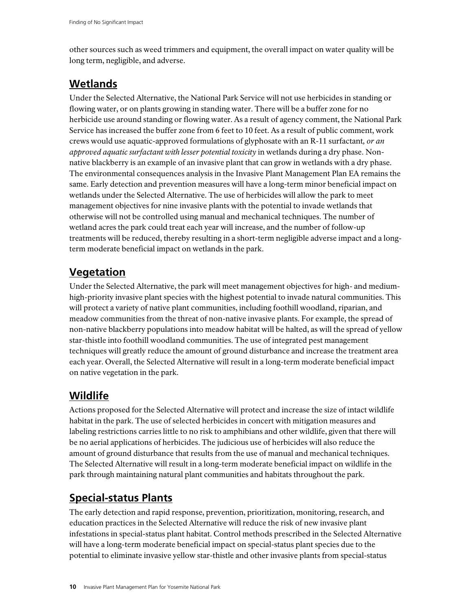other sources such as weed trimmers and equipment, the overall impact on water quality will be long term, negligible, and adverse.

#### **Wetlands**

Under the Selected Alternative, the National Park Service will not use herbicides in standing or flowing water, or on plants growing in standing water. There will be a buffer zone for no herbicide use around standing or flowing water. As a result of agency comment, the National Park Service has increased the buffer zone from 6 feet to 10 feet. As a result of public comment, work crews would use aquatic-approved formulations of glyphosate with an R-11 surfactant*, or an approved aquatic surfactant with lesser potential toxicity* in wetlands during a dry phase. Nonnative blackberry is an example of an invasive plant that can grow in wetlands with a dry phase. The environmental consequences analysis in the Invasive Plant Management Plan EA remains the same. Early detection and prevention measures will have a long-term minor beneficial impact on wetlands under the Selected Alternative. The use of herbicides will allow the park to meet management objectives for nine invasive plants with the potential to invade wetlands that otherwise will not be controlled using manual and mechanical techniques. The number of wetland acres the park could treat each year will increase, and the number of follow-up treatments will be reduced, thereby resulting in a short-term negligible adverse impact and a longterm moderate beneficial impact on wetlands in the park.

## **Vegetation**

Under the Selected Alternative, the park will meet management objectives for high- and mediumhigh-priority invasive plant species with the highest potential to invade natural communities. This will protect a variety of native plant communities, including foothill woodland, riparian, and meadow communities from the threat of non-native invasive plants. For example, the spread of non-native blackberry populations into meadow habitat will be halted, as will the spread of yellow star-thistle into foothill woodland communities. The use of integrated pest management techniques will greatly reduce the amount of ground disturbance and increase the treatment area each year. Overall, the Selected Alternative will result in a long-term moderate beneficial impact on native vegetation in the park.

## **Wildlife**

Actions proposed for the Selected Alternative will protect and increase the size of intact wildlife habitat in the park. The use of selected herbicides in concert with mitigation measures and labeling restrictions carries little to no risk to amphibians and other wildlife, given that there will be no aerial applications of herbicides. The judicious use of herbicides will also reduce the amount of ground disturbance that results from the use of manual and mechanical techniques. The Selected Alternative will result in a long-term moderate beneficial impact on wildlife in the park through maintaining natural plant communities and habitats throughout the park.

## **Special-status Plants**

The early detection and rapid response, prevention, prioritization, monitoring, research, and education practices in the Selected Alternative will reduce the risk of new invasive plant infestations in special-status plant habitat. Control methods prescribed in the Selected Alternative will have a long-term moderate beneficial impact on special-status plant species due to the potential to eliminate invasive yellow star-thistle and other invasive plants from special-status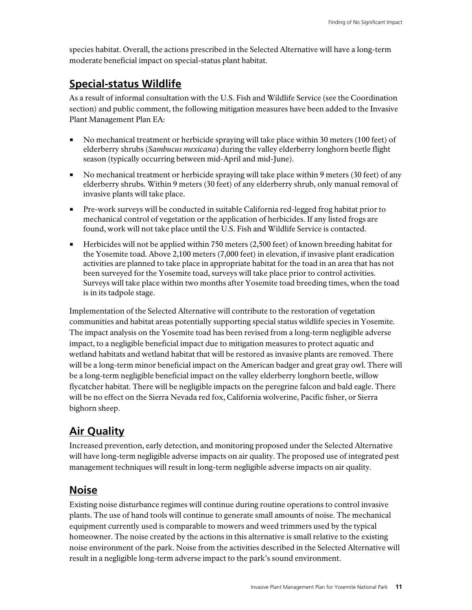species habitat. Overall, the actions prescribed in the Selected Alternative will have a long-term moderate beneficial impact on special-status plant habitat.

### **Special-status Wildlife**

As a result of informal consultation with the U.S. Fish and Wildlife Service (see the Coordination section) and public comment, the following mitigation measures have been added to the Invasive Plant Management Plan EA:

- No mechanical treatment or herbicide spraying will take place within 30 meters (100 feet) of elderberry shrubs (*Sambucus mexicana*) during the valley elderberry longhorn beetle flight season (typically occurring between mid-April and mid-June).
- $\blacksquare$  No mechanical treatment or herbicide spraying will take place within 9 meters (30 feet) of any elderberry shrubs. Within 9 meters (30 feet) of any elderberry shrub, only manual removal of invasive plants will take place.
- Pre-work surveys will be conducted in suitable California red-legged frog habitat prior to mechanical control of vegetation or the application of herbicides. If any listed frogs are found, work will not take place until the U.S. Fish and Wildlife Service is contacted.
- **Herbicides will not be applied within 750 meters (2,500 feet) of known breeding habitat for** the Yosemite toad. Above 2,100 meters (7,000 feet) in elevation, if invasive plant eradication activities are planned to take place in appropriate habitat for the toad in an area that has not been surveyed for the Yosemite toad, surveys will take place prior to control activities. Surveys will take place within two months after Yosemite toad breeding times, when the toad is in its tadpole stage.

Implementation of the Selected Alternative will contribute to the restoration of vegetation communities and habitat areas potentially supporting special status wildlife species in Yosemite. The impact analysis on the Yosemite toad has been revised from a long-term negligible adverse impact, to a negligible beneficial impact due to mitigation measures to protect aquatic and wetland habitats and wetland habitat that will be restored as invasive plants are removed. There will be a long-term minor beneficial impact on the American badger and great gray owl. There will be a long-term negligible beneficial impact on the valley elderberry longhorn beetle, willow flycatcher habitat. There will be negligible impacts on the peregrine falcon and bald eagle. There will be no effect on the Sierra Nevada red fox, California wolverine, Pacific fisher, or Sierra bighorn sheep.

## **Air Quality**

Increased prevention, early detection, and monitoring proposed under the Selected Alternative will have long-term negligible adverse impacts on air quality. The proposed use of integrated pest management techniques will result in long-term negligible adverse impacts on air quality.

## **Noise**

Existing noise disturbance regimes will continue during routine operations to control invasive plants. The use of hand tools will continue to generate small amounts of noise. The mechanical equipment currently used is comparable to mowers and weed trimmers used by the typical homeowner. The noise created by the actions in this alternative is small relative to the existing noise environment of the park. Noise from the activities described in the Selected Alternative will result in a negligible long-term adverse impact to the park's sound environment.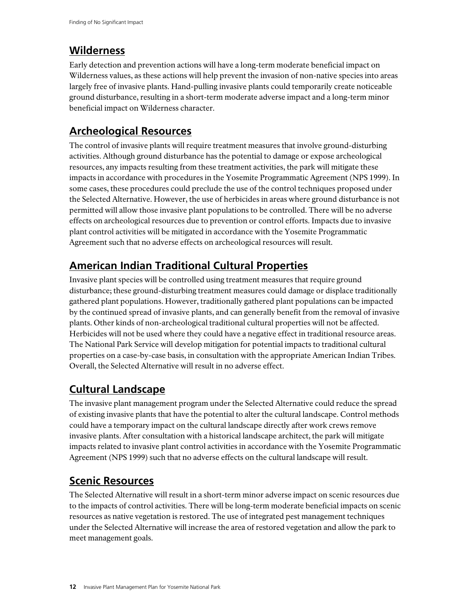### **Wilderness**

Early detection and prevention actions will have a long-term moderate beneficial impact on Wilderness values, as these actions will help prevent the invasion of non-native species into areas largely free of invasive plants. Hand-pulling invasive plants could temporarily create noticeable ground disturbance, resulting in a short-term moderate adverse impact and a long-term minor beneficial impact on Wilderness character.

## **Archeological Resources**

The control of invasive plants will require treatment measures that involve ground-disturbing activities. Although ground disturbance has the potential to damage or expose archeological resources, any impacts resulting from these treatment activities, the park will mitigate these impacts in accordance with procedures in the Yosemite Programmatic Agreement (NPS 1999). In some cases, these procedures could preclude the use of the control techniques proposed under the Selected Alternative. However, the use of herbicides in areas where ground disturbance is not permitted will allow those invasive plant populations to be controlled. There will be no adverse effects on archeological resources due to prevention or control efforts. Impacts due to invasive plant control activities will be mitigated in accordance with the Yosemite Programmatic Agreement such that no adverse effects on archeological resources will result.

## **American Indian Traditional Cultural Properties**

Invasive plant species will be controlled using treatment measures that require ground disturbance; these ground-disturbing treatment measures could damage or displace traditionally gathered plant populations. However, traditionally gathered plant populations can be impacted by the continued spread of invasive plants, and can generally benefit from the removal of invasive plants. Other kinds of non-archeological traditional cultural properties will not be affected. Herbicides will not be used where they could have a negative effect in traditional resource areas. The National Park Service will develop mitigation for potential impacts to traditional cultural properties on a case-by-case basis, in consultation with the appropriate American Indian Tribes. Overall, the Selected Alternative will result in no adverse effect.

## **Cultural Landscape**

The invasive plant management program under the Selected Alternative could reduce the spread of existing invasive plants that have the potential to alter the cultural landscape. Control methods could have a temporary impact on the cultural landscape directly after work crews remove invasive plants. After consultation with a historical landscape architect, the park will mitigate impacts related to invasive plant control activities in accordance with the Yosemite Programmatic Agreement (NPS 1999) such that no adverse effects on the cultural landscape will result.

## **Scenic Resources**

The Selected Alternative will result in a short-term minor adverse impact on scenic resources due to the impacts of control activities. There will be long-term moderate beneficial impacts on scenic resources as native vegetation is restored. The use of integrated pest management techniques under the Selected Alternative will increase the area of restored vegetation and allow the park to meet management goals.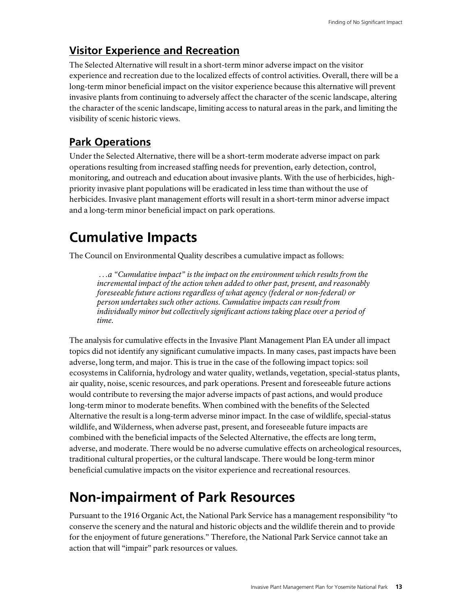## **Visitor Experience and Recreation**

The Selected Alternative will result in a short-term minor adverse impact on the visitor experience and recreation due to the localized effects of control activities. Overall, there will be a long-term minor beneficial impact on the visitor experience because this alternative will prevent invasive plants from continuing to adversely affect the character of the scenic landscape, altering the character of the scenic landscape, limiting access to natural areas in the park, and limiting the visibility of scenic historic views.

## **Park Operations**

Under the Selected Alternative, there will be a short-term moderate adverse impact on park operations resulting from increased staffing needs for prevention, early detection, control, monitoring, and outreach and education about invasive plants. With the use of herbicides, highpriority invasive plant populations will be eradicated in less time than without the use of herbicides. Invasive plant management efforts will result in a short-term minor adverse impact and a long-term minor beneficial impact on park operations.

## **Cumulative Impacts**

The Council on Environmental Quality describes a cumulative impact as follows:

 *…a "Cumulative impact" is the impact on the environment which results from the incremental impact of the action when added to other past, present, and reasonably foreseeable future actions regardless of what agency (federal or non-federal) or person undertakes such other actions. Cumulative impacts can result from individually minor but collectively significant actions taking place over a period of time.* 

The analysis for cumulative effects in the Invasive Plant Management Plan EA under all impact topics did not identify any significant cumulative impacts. In many cases, past impacts have been adverse, long term, and major. This is true in the case of the following impact topics: soil ecosystems in California, hydrology and water quality, wetlands, vegetation, special-status plants, air quality, noise, scenic resources, and park operations. Present and foreseeable future actions would contribute to reversing the major adverse impacts of past actions, and would produce long-term minor to moderate benefits. When combined with the benefits of the Selected Alternative the result is a long-term adverse minor impact. In the case of wildlife, special-status wildlife, and Wilderness, when adverse past, present, and foreseeable future impacts are combined with the beneficial impacts of the Selected Alternative, the effects are long term, adverse, and moderate. There would be no adverse cumulative effects on archeological resources, traditional cultural properties, or the cultural landscape. There would be long-term minor beneficial cumulative impacts on the visitor experience and recreational resources.

## **Non-impairment of Park Resources**

Pursuant to the 1916 Organic Act, the National Park Service has a management responsibility "to conserve the scenery and the natural and historic objects and the wildlife therein and to provide for the enjoyment of future generations." Therefore, the National Park Service cannot take an action that will "impair" park resources or values.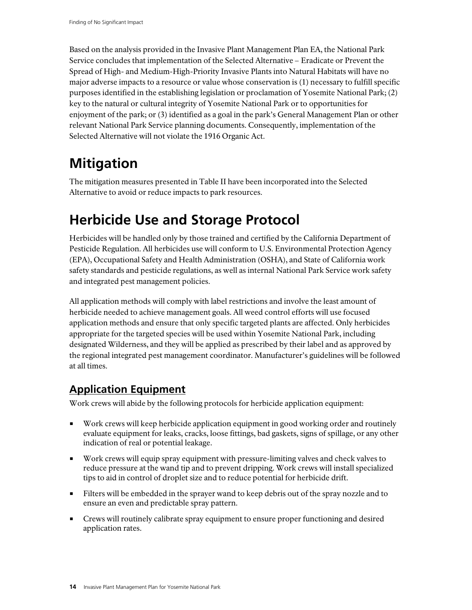Based on the analysis provided in the Invasive Plant Management Plan EA, the National Park Service concludes that implementation of the Selected Alternative – Eradicate or Prevent the Spread of High- and Medium-High-Priority Invasive Plants into Natural Habitats will have no major adverse impacts to a resource or value whose conservation is (1) necessary to fulfill specific purposes identified in the establishing legislation or proclamation of Yosemite National Park; (2) key to the natural or cultural integrity of Yosemite National Park or to opportunities for enjoyment of the park; or (3) identified as a goal in the park's General Management Plan or other relevant National Park Service planning documents. Consequently, implementation of the Selected Alternative will not violate the 1916 Organic Act.

## **Mitigation**

The mitigation measures presented in Table II have been incorporated into the Selected Alternative to avoid or reduce impacts to park resources.

## **Herbicide Use and Storage Protocol**

Herbicides will be handled only by those trained and certified by the California Department of Pesticide Regulation. All herbicides use will conform to U.S. Environmental Protection Agency (EPA), Occupational Safety and Health Administration (OSHA), and State of California work safety standards and pesticide regulations, as well as internal National Park Service work safety and integrated pest management policies.

All application methods will comply with label restrictions and involve the least amount of herbicide needed to achieve management goals. All weed control efforts will use focused application methods and ensure that only specific targeted plants are affected. Only herbicides appropriate for the targeted species will be used within Yosemite National Park, including designated Wilderness, and they will be applied as prescribed by their label and as approved by the regional integrated pest management coordinator. Manufacturer's guidelines will be followed at all times.

## **Application Equipment**

Work crews will abide by the following protocols for herbicide application equipment:

- Work crews will keep herbicide application equipment in good working order and routinely evaluate equipment for leaks, cracks, loose fittings, bad gaskets, signs of spillage, or any other indication of real or potential leakage.
- Work crews will equip spray equipment with pressure-limiting valves and check valves to reduce pressure at the wand tip and to prevent dripping. Work crews will install specialized tips to aid in control of droplet size and to reduce potential for herbicide drift.
- Filters will be embedded in the sprayer wand to keep debris out of the spray nozzle and to ensure an even and predictable spray pattern.
- Crews will routinely calibrate spray equipment to ensure proper functioning and desired application rates.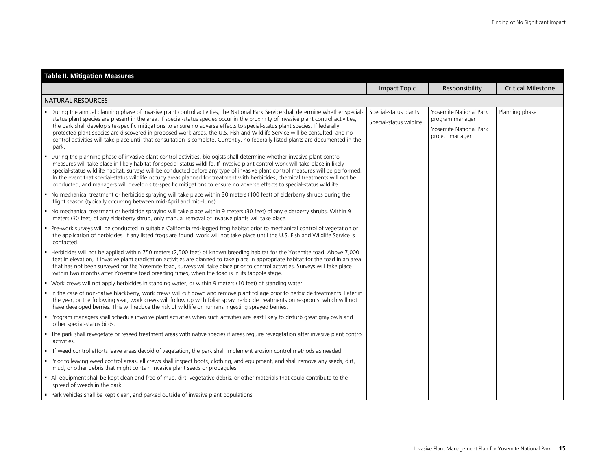| <b>Table II. Mitigation Measures</b>                                                                                                                                                                                                                                                                                                                                                                                                                                                                                                                                                                                                                                                      |                                                  |                                                                                        |                           |
|-------------------------------------------------------------------------------------------------------------------------------------------------------------------------------------------------------------------------------------------------------------------------------------------------------------------------------------------------------------------------------------------------------------------------------------------------------------------------------------------------------------------------------------------------------------------------------------------------------------------------------------------------------------------------------------------|--------------------------------------------------|----------------------------------------------------------------------------------------|---------------------------|
|                                                                                                                                                                                                                                                                                                                                                                                                                                                                                                                                                                                                                                                                                           | <b>Impact Topic</b>                              | Responsibility                                                                         | <b>Critical Milestone</b> |
| <b>NATURAL RESOURCES</b>                                                                                                                                                                                                                                                                                                                                                                                                                                                                                                                                                                                                                                                                  |                                                  |                                                                                        |                           |
| • During the annual planning phase of invasive plant control activities, the National Park Service shall determine whether special-<br>status plant species are present in the area. If special-status species occur in the proximity of invasive plant control activities,<br>the park shall develop site-specific mitigations to ensure no adverse effects to special-status plant species. If federally<br>protected plant species are discovered in proposed work areas, the U.S. Fish and Wildlife Service will be consulted, and no<br>control activities will take place until that consultation is complete. Currently, no federally listed plants are documented in the<br>park. | Special-status plants<br>Special-status wildlife | Yosemite National Park<br>program manager<br>Yosemite National Park<br>project manager | Planning phase            |
| During the planning phase of invasive plant control activities, biologists shall determine whether invasive plant control<br>$\blacksquare$<br>measures will take place in likely habitat for special-status wildlife. If invasive plant control work will take place in likely<br>special-status wildlife habitat, surveys will be conducted before any type of invasive plant control measures will be performed.<br>In the event that special-status wildlife occupy areas planned for treatment with herbicides, chemical treatments will not be<br>conducted, and managers will develop site-specific mitigations to ensure no adverse effects to special-status wildlife.           |                                                  |                                                                                        |                           |
| • No mechanical treatment or herbicide spraying will take place within 30 meters (100 feet) of elderberry shrubs during the<br>flight season (typically occurring between mid-April and mid-June).                                                                                                                                                                                                                                                                                                                                                                                                                                                                                        |                                                  |                                                                                        |                           |
| • No mechanical treatment or herbicide spraying will take place within 9 meters (30 feet) of any elderberry shrubs. Within 9<br>meters (30 feet) of any elderberry shrub, only manual removal of invasive plants will take place.                                                                                                                                                                                                                                                                                                                                                                                                                                                         |                                                  |                                                                                        |                           |
| • Pre-work surveys will be conducted in suitable California red-legged frog habitat prior to mechanical control of vegetation or<br>the application of herbicides. If any listed frogs are found, work will not take place until the U.S. Fish and Wildlife Service is<br>contacted.                                                                                                                                                                                                                                                                                                                                                                                                      |                                                  |                                                                                        |                           |
| Herbicides will not be applied within 750 meters (2,500 feet) of known breeding habitat for the Yosemite toad. Above 7,000<br>feet in elevation, if invasive plant eradication activities are planned to take place in appropriate habitat for the toad in an area<br>that has not been surveyed for the Yosemite toad, surveys will take place prior to control activities. Surveys will take place<br>within two months after Yosemite toad breeding times, when the toad is in its tadpole stage.                                                                                                                                                                                      |                                                  |                                                                                        |                           |
| • Work crews will not apply herbicides in standing water, or within 9 meters (10 feet) of standing water.                                                                                                                                                                                                                                                                                                                                                                                                                                                                                                                                                                                 |                                                  |                                                                                        |                           |
| In the case of non-native blackberry, work crews will cut down and remove plant foliage prior to herbicide treatments. Later in<br>the year, or the following year, work crews will follow up with foliar spray herbicide treatments on resprouts, which will not<br>have developed berries. This will reduce the risk of wildlife or humans ingesting sprayed berries.                                                                                                                                                                                                                                                                                                                   |                                                  |                                                                                        |                           |
| • Program managers shall schedule invasive plant activities when such activities are least likely to disturb great gray owls and<br>other special-status birds.                                                                                                                                                                                                                                                                                                                                                                                                                                                                                                                           |                                                  |                                                                                        |                           |
| The park shall revegetate or reseed treatment areas with native species if areas require revegetation after invasive plant control<br>activities.                                                                                                                                                                                                                                                                                                                                                                                                                                                                                                                                         |                                                  |                                                                                        |                           |
| If weed control efforts leave areas devoid of vegetation, the park shall implement erosion control methods as needed.                                                                                                                                                                                                                                                                                                                                                                                                                                                                                                                                                                     |                                                  |                                                                                        |                           |
| " Prior to leaving weed control areas, all crews shall inspect boots, clothing, and equipment, and shall remove any seeds, dirt,<br>mud, or other debris that might contain invasive plant seeds or propagules.                                                                                                                                                                                                                                                                                                                                                                                                                                                                           |                                                  |                                                                                        |                           |
| - All equipment shall be kept clean and free of mud, dirt, vegetative debris, or other materials that could contribute to the<br>spread of weeds in the park.                                                                                                                                                                                                                                                                                                                                                                                                                                                                                                                             |                                                  |                                                                                        |                           |
| • Park vehicles shall be kept clean, and parked outside of invasive plant populations.                                                                                                                                                                                                                                                                                                                                                                                                                                                                                                                                                                                                    |                                                  |                                                                                        |                           |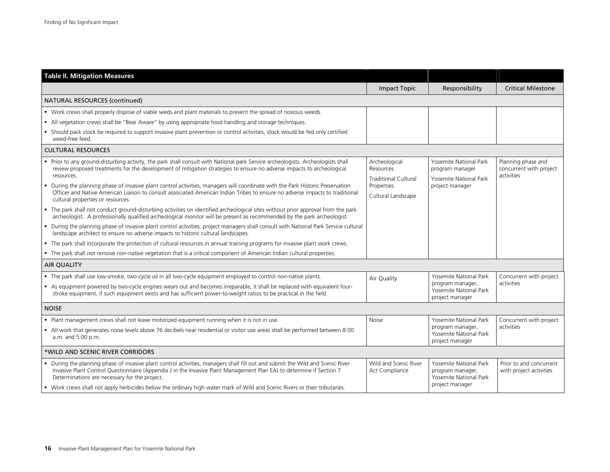| <b>Table II. Mitigation Measures</b>                                                                                                                                                                                                                                                                    |                                           |                                                                                         |                                                             |
|---------------------------------------------------------------------------------------------------------------------------------------------------------------------------------------------------------------------------------------------------------------------------------------------------------|-------------------------------------------|-----------------------------------------------------------------------------------------|-------------------------------------------------------------|
|                                                                                                                                                                                                                                                                                                         | <b>Impact Topic</b>                       | Responsibility                                                                          | <b>Critical Milestone</b>                                   |
| NATURAL RESOURCES (continued)                                                                                                                                                                                                                                                                           |                                           |                                                                                         |                                                             |
| • Work crews shall properly dispose of viable seeds and plant materials to prevent the spread of noxious weeds.                                                                                                                                                                                         |                                           |                                                                                         |                                                             |
| - All vegetation crews shall be "Bear Aware" by using appropriate food handling and storage techniques.                                                                                                                                                                                                 |                                           |                                                                                         |                                                             |
| • Should pack stock be required to support invasive plant prevention or control activities, stock would be fed only certified<br>weed-free feed.                                                                                                                                                        |                                           |                                                                                         |                                                             |
| <b>CULTURAL RESOURCES</b>                                                                                                                                                                                                                                                                               |                                           |                                                                                         |                                                             |
| Prior to any ground-disturbing activity, the park shall consult with National park Service archeologists. Archeologists shall<br>review proposed treatments for the development of mitigation strategies to ensure no adverse impacts to archeological<br>resources.                                    | Archeological<br>Resources                | <b>Yosemite National Park</b><br>program manager                                        | Planning phase and<br>concurrent with project<br>activities |
| During the planning phase of invasive plant control activities, managers will coordinate with the Park Historic Preservation                                                                                                                                                                            | <b>Traditional Cultural</b><br>Properties | Yosemite National Park<br>project manager                                               |                                                             |
| Officer and Native American Liaison to consult associated American Indian Tribes to ensure no adverse impacts to traditional<br>cultural properties or resources.                                                                                                                                       | Cultural Landscape                        |                                                                                         |                                                             |
| • The park shall not conduct ground-disturbing activities on identified archeological sites without prior approval from the park<br>archeologist. A professionally qualified archeological monitor will be present as recommended by the park archeologist.                                             |                                           |                                                                                         |                                                             |
| " During the planning phase of invasive plant control activities, project managers shall consult with National Park Service cultural<br>landscape architect to ensure no adverse impacts to historic cultural landscapes.                                                                               |                                           |                                                                                         |                                                             |
| . The park shall incorporate the protection of cultural resources in annual training programs for invasive plant work crews.                                                                                                                                                                            |                                           |                                                                                         |                                                             |
| - The park shall not remove non-native vegetation that is a critical component of American Indian cultural properties.                                                                                                                                                                                  |                                           |                                                                                         |                                                             |
| <b>AIR QUALITY</b>                                                                                                                                                                                                                                                                                      |                                           |                                                                                         |                                                             |
| The park shall use low-smoke, two-cycle oil in all two-cycle equipment employed to control non-native plants.                                                                                                                                                                                           | Air Quality                               | Yosemite National Park                                                                  | Concurrent with project                                     |
| As equipment powered by two-cycle engines wears out and becomes irreparable, it shall be replaced with equivalent four-<br>stroke equipment, if such equipment exists and has sufficient power-to-weight ratios to be practical in the field.                                                           |                                           | program manager,<br>Yosemite National Park<br>project manager                           | activities                                                  |
| <b>NOISE</b>                                                                                                                                                                                                                                                                                            |                                           |                                                                                         |                                                             |
| . Plant management crews shall not leave motorized equipment running when it is not in use.                                                                                                                                                                                                             | Noise                                     | Yosemite National Park                                                                  | Concurrent with project                                     |
| • All work that generates noise levels above 76 decibels near residential or visitor use areas shall be performed between 8:00<br>a.m. and 5:00 p.m.                                                                                                                                                    |                                           | program manager,<br>Yosemite National Park<br>project manager                           | activities                                                  |
| *WILD AND SCENIC RIVER CORRIDORS                                                                                                                                                                                                                                                                        |                                           |                                                                                         |                                                             |
| • During the planning phase of invasive plant control activities, managers shall fill out and submit the Wild and Scenic River<br>Invasive Plant Control Questionnaire (Appendix J in the Invasive Plant Management Plan EA) to determine if Section 7<br>Determinations are necessary for the project. | Wild and Scenic River<br>Act Compliance   | Yosemite National Park<br>program manager,<br>Yosemite National Park<br>project manager | Prior to and concurrent<br>with project activities          |
| • Work crews shall not apply herbicides below the ordinary high water mark of Wild and Scenic Rivers or their tributaries.                                                                                                                                                                              |                                           |                                                                                         |                                                             |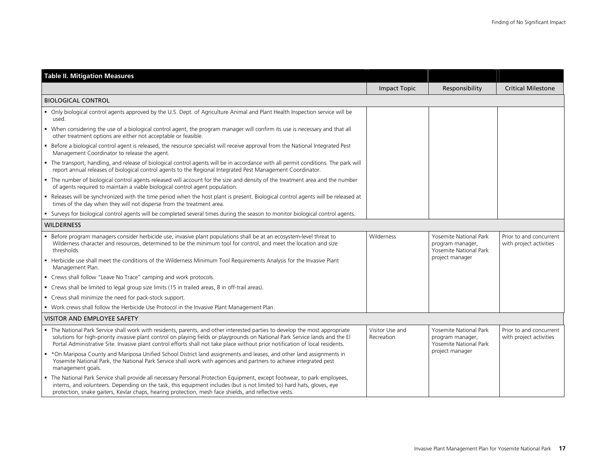| <b>Table II. Mitigation Measures</b>                                                                                                                                                                                                                                                                                                                                                            |                               |                                                                      |                                                    |
|-------------------------------------------------------------------------------------------------------------------------------------------------------------------------------------------------------------------------------------------------------------------------------------------------------------------------------------------------------------------------------------------------|-------------------------------|----------------------------------------------------------------------|----------------------------------------------------|
|                                                                                                                                                                                                                                                                                                                                                                                                 | <b>Impact Topic</b>           | Responsibility                                                       | <b>Critical Milestone</b>                          |
| <b>BIOLOGICAL CONTROL</b>                                                                                                                                                                                                                                                                                                                                                                       |                               |                                                                      |                                                    |
| • Only biological control agents approved by the U.S. Dept. of Agriculture Animal and Plant Health Inspection service will be<br>used.                                                                                                                                                                                                                                                          |                               |                                                                      |                                                    |
| • When considering the use of a biological control agent, the program manager will confirm its use is necessary and that all<br>other treatment options are either not acceptable or feasible.                                                                                                                                                                                                  |                               |                                                                      |                                                    |
| " Before a biological control agent is released, the resource specialist will receive approval from the National Integrated Pest<br>Management Coordinator to release the agent.                                                                                                                                                                                                                |                               |                                                                      |                                                    |
| • The transport, handling, and release of biological control agents will be in accordance with all permit conditions. The park will<br>report annual releases of biological control agents to the Regional Integrated Pest Management Coordinator.                                                                                                                                              |                               |                                                                      |                                                    |
| • The number of biological control agents released will account for the size and density of the treatment area and the number<br>of agents required to maintain a viable biological control agent population.                                                                                                                                                                                   |                               |                                                                      |                                                    |
| • Releases will be synchronized with the time period when the host plant is present. Biological control agents will be released at<br>times of the day when they will not disperse from the treatment area.                                                                                                                                                                                     |                               |                                                                      |                                                    |
| Surveys for biological control agents will be completed several times during the season to monitor biological control agents.<br>٠.                                                                                                                                                                                                                                                             |                               |                                                                      |                                                    |
| <b>WILDERNESS</b>                                                                                                                                                                                                                                                                                                                                                                               |                               |                                                                      |                                                    |
| • Before program managers consider herbicide use, invasive plant populations shall be at an ecosystem-level threat to<br>Wilderness character and resources, determined to be the minimum tool for control, and meet the location and size<br>thresholds.                                                                                                                                       | Wilderness                    | Yosemite National Park<br>program manager,<br>Yosemite National Park | Prior to and concurrent<br>with project activities |
| • Herbicide use shall meet the conditions of the Wilderness Minimum Tool Requirements Analysis for the Invasive Plant<br>Management Plan.                                                                                                                                                                                                                                                       |                               | project manager                                                      |                                                    |
| • Crews shall follow "Leave No Trace" camping and work protocols.                                                                                                                                                                                                                                                                                                                               |                               |                                                                      |                                                    |
| • Crews shall be limited to legal group size limits (15 in trailed areas, 8 in off-trail areas).                                                                                                                                                                                                                                                                                                |                               |                                                                      |                                                    |
| • Crews shall minimize the need for pack-stock support.                                                                                                                                                                                                                                                                                                                                         |                               |                                                                      |                                                    |
| . Work crews shall follow the Herbicide Use Protocol in the Invasive Plant Management Plan.                                                                                                                                                                                                                                                                                                     |                               |                                                                      |                                                    |
| <b>VISITOR AND EMPLOYEE SAFETY</b>                                                                                                                                                                                                                                                                                                                                                              |                               |                                                                      |                                                    |
| . The National Park Service shall work with residents, parents, and other interested parties to develop the most appropriate<br>solutions for high-priority invasive plant control on playing fields or playgrounds on National Park Service lands and the El<br>Portal Administrative Site. Invasive plant control efforts shall not take place without prior notification of local residents. | Visitor Use and<br>Recreation | Yosemite National Park<br>program manager,<br>Yosemite National Park | Prior to and concurrent<br>with project activities |
| *On Mariposa County and Mariposa Unified School District land assignments and leases, and other land assignments in<br>Yosemite National Park, the National Park Service shall work with agencies and partners to achieve integrated pest<br>management goals.                                                                                                                                  |                               | project manager                                                      |                                                    |
| . The National Park Service shall provide all necessary Personal Protection Equipment, except footwear, to park employees,<br>interns, and volunteers. Depending on the task, this equipment includes (but is not limited to) hard hats, gloves, eye<br>protection, snake gaiters, Kevlar chaps, hearing protection, mesh face shields, and reflective vests.                                   |                               |                                                                      |                                                    |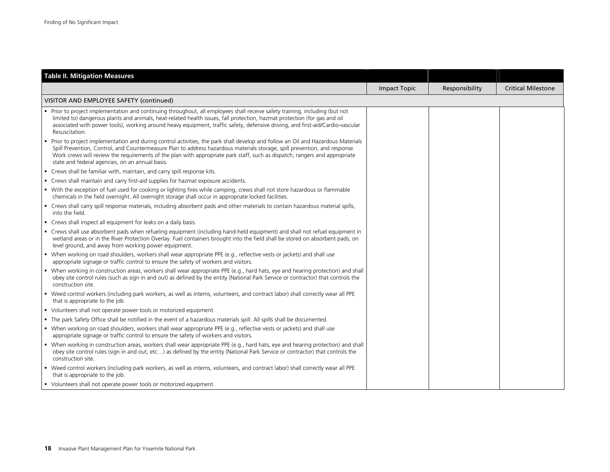| <b>Table II. Mitigation Measures</b>                                                                                                                                                                                                                                                                                                                                                                                                             |                     |                |                           |
|--------------------------------------------------------------------------------------------------------------------------------------------------------------------------------------------------------------------------------------------------------------------------------------------------------------------------------------------------------------------------------------------------------------------------------------------------|---------------------|----------------|---------------------------|
|                                                                                                                                                                                                                                                                                                                                                                                                                                                  | <b>Impact Topic</b> | Responsibility | <b>Critical Milestone</b> |
| VISITOR AND EMPLOYEE SAFETY (continued)                                                                                                                                                                                                                                                                                                                                                                                                          |                     |                |                           |
| Prior to project implementation and continuing throughout, all employees shall receive safety training, including (but not<br>limited to) dangerous plants and animals, heat-related health issues, fall protection, hazmat protection (for gas and oil<br>associated with power tools), working around heavy equipment, traffic safety, defensive driving, and first-aid/Cardio-vascular<br>Resuscitation.                                      |                     |                |                           |
| • Prior to project implementation and during control activities, the park shall develop and follow an Oil and Hazardous Materials<br>Spill Prevention, Control, and Countermeasure Plan to address hazardous materials storage, spill prevention, and response.<br>Work crews will review the requirements of the plan with appropriate park staff, such as dispatch, rangers and appropriate<br>state and federal agencies, on an annual basis. |                     |                |                           |
| • Crews shall be familiar with, maintain, and carry spill response kits.                                                                                                                                                                                                                                                                                                                                                                         |                     |                |                           |
| • Crews shall maintain and carry first-aid supplies for hazmat exposure accidents.                                                                                                                                                                                                                                                                                                                                                               |                     |                |                           |
| • With the exception of fuel used for cooking or lighting fires while camping, crews shall not store hazardous or flammable<br>chemicals in the field overnight. All overnight storage shall occur in appropriate locked facilities.                                                                                                                                                                                                             |                     |                |                           |
| • Crews shall carry spill response materials, including absorbent pads and other materials to contain hazardous material spills,<br>into the field.                                                                                                                                                                                                                                                                                              |                     |                |                           |
| • Crews shall inspect all equipment for leaks on a daily basis.                                                                                                                                                                                                                                                                                                                                                                                  |                     |                |                           |
| • Crews shall use absorbent pads when refueling equipment (including hand-held equipment) and shall not refuel equipment in<br>wetland areas or in the River Protection Overlay. Fuel containers brought into the field shall be stored on absorbent pads, on<br>level ground, and away from working power equipment.                                                                                                                            |                     |                |                           |
| • When working on road shoulders, workers shall wear appropriate PPE (e.g., reflective vests or jackets) and shall use<br>appropriate signage or traffic control to ensure the safety of workers and visitors.                                                                                                                                                                                                                                   |                     |                |                           |
| • When working in construction areas, workers shall wear appropriate PPE (e.g., hard hats, eye and hearing protection) and shall<br>obey site control rules (such as sign in and out) as defined by the entity (National Park Service or contractor) that controls the<br>construction site.                                                                                                                                                     |                     |                |                           |
| • Weed control workers (including park workers, as well as interns, volunteers, and contract labor) shall correctly wear all PPE<br>that is appropriate to the job.                                                                                                                                                                                                                                                                              |                     |                |                           |
| • Volunteers shall not operate power tools or motorized equipment.                                                                                                                                                                                                                                                                                                                                                                               |                     |                |                           |
| • The park Safety Office shall be notified in the event of a hazardous materials spill. All spills shall be documented.                                                                                                                                                                                                                                                                                                                          |                     |                |                           |
| • When working on road shoulders, workers shall wear appropriate PPE (e.g., reflective vests or jackets) and shall use<br>appropriate signage or traffic control to ensure the safety of workers and visitors.                                                                                                                                                                                                                                   |                     |                |                           |
| • When working in construction areas, workers shall wear appropriate PPE (e.g., hard hats, eye and hearing protection) and shall<br>obey site control rules (sign in and out, etc) as defined by the entity (National Park Service or contractor) that controls the<br>construction site.                                                                                                                                                        |                     |                |                           |
| • Weed control workers (including park workers, as well as interns, volunteers, and contract labor) shall correctly wear all PPE<br>that is appropriate to the job.                                                                                                                                                                                                                                                                              |                     |                |                           |
| • Volunteers shall not operate power tools or motorized equipment.                                                                                                                                                                                                                                                                                                                                                                               |                     |                |                           |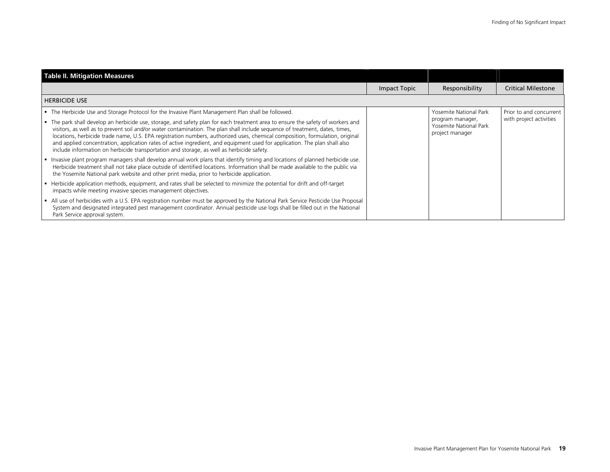| <b>Table II. Mitigation Measures</b>                                                                                                                                                                                                                                                                                                                                                                                                                                                                                                                                                                                     |              |                                                               |                           |
|--------------------------------------------------------------------------------------------------------------------------------------------------------------------------------------------------------------------------------------------------------------------------------------------------------------------------------------------------------------------------------------------------------------------------------------------------------------------------------------------------------------------------------------------------------------------------------------------------------------------------|--------------|---------------------------------------------------------------|---------------------------|
|                                                                                                                                                                                                                                                                                                                                                                                                                                                                                                                                                                                                                          | Impact Topic | Responsibility                                                | <b>Critical Milestone</b> |
| I HERBICIDE USE                                                                                                                                                                                                                                                                                                                                                                                                                                                                                                                                                                                                          |              |                                                               |                           |
| - The Herbicide Use and Storage Protocol for the Invasive Plant Management Plan shall be followed.                                                                                                                                                                                                                                                                                                                                                                                                                                                                                                                       |              | Yosemite National Park                                        | Prior to and concurrent   |
| The park shall develop an herbicide use, storage, and safety plan for each treatment area to ensure the safety of workers and<br>visitors, as well as to prevent soil and/or water contamination. The plan shall include sequence of treatment, dates, times,<br>locations, herbicide trade name, U.S. EPA registration numbers, authorized uses, chemical composition, formulation, original<br>and applied concentration, application rates of active ingredient, and equipment used for application. The plan shall also<br>include information on herbicide transportation and storage, as well as herbicide safety. |              | program manager,<br>Yosemite National Park<br>project manager | with project activities   |
| Invasive plant program managers shall develop annual work plans that identify timing and locations of planned herbicide use.<br>Herbicide treatment shall not take place outside of identified locations. Information shall be made available to the public via<br>the Yosemite National park website and other print media, prior to herbicide application.                                                                                                                                                                                                                                                             |              |                                                               |                           |
| Figure Herbicide application methods, equipment, and rates shall be selected to minimize the potential for drift and off-target<br>impacts while meeting invasive species management objectives.                                                                                                                                                                                                                                                                                                                                                                                                                         |              |                                                               |                           |
| All use of herbicides with a U.S. EPA registration number must be approved by the National Park Service Pesticide Use Proposal<br>System and designated integrated pest management coordinator. Annual pesticide use logs shall be filled out in the National<br>Park Service approval system.                                                                                                                                                                                                                                                                                                                           |              |                                                               |                           |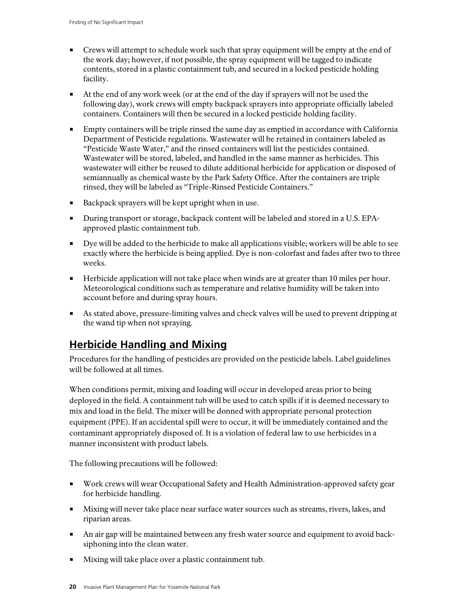- Crews will attempt to schedule work such that spray equipment will be empty at the end of the work day; however, if not possible, the spray equipment will be tagged to indicate contents, stored in a plastic containment tub, and secured in a locked pesticide holding facility.
- At the end of any work week (or at the end of the day if sprayers will not be used the following day), work crews will empty backpack sprayers into appropriate officially labeled containers. Containers will then be secured in a locked pesticide holding facility.
- **Empty containers will be triple rinsed the same day as emptied in accordance with California** Department of Pesticide regulations. Wastewater will be retained in containers labeled as "Pesticide Waste Water," and the rinsed containers will list the pesticides contained. Wastewater will be stored, labeled, and handled in the same manner as herbicides. This wastewater will either be reused to dilute additional herbicide for application or disposed of semiannually as chemical waste by the Park Safety Office. After the containers are triple rinsed, they will be labeled as "Triple-Rinsed Pesticide Containers."
- Backpack sprayers will be kept upright when in use.
- During transport or storage, backpack content will be labeled and stored in a U.S. EPAapproved plastic containment tub.
- Dye will be added to the herbicide to make all applications visible; workers will be able to see exactly where the herbicide is being applied. Dye is non-colorfast and fades after two to three weeks.
- Herbicide application will not take place when winds are at greater than 10 miles per hour. Meteorological conditions such as temperature and relative humidity will be taken into account before and during spray hours.
- As stated above, pressure-limiting valves and check valves will be used to prevent dripping at the wand tip when not spraying.

### **Herbicide Handling and Mixing**

Procedures for the handling of pesticides are provided on the pesticide labels. Label guidelines will be followed at all times.

When conditions permit, mixing and loading will occur in developed areas prior to being deployed in the field. A containment tub will be used to catch spills if it is deemed necessary to mix and load in the field. The mixer will be donned with appropriate personal protection equipment (PPE). If an accidental spill were to occur, it will be immediately contained and the contaminant appropriately disposed of. It is a violation of federal law to use herbicides in a manner inconsistent with product labels.

The following precautions will be followed:

- Work crews will wear Occupational Safety and Health Administration-approved safety gear for herbicide handling.
- Mixing will never take place near surface water sources such as streams, rivers, lakes, and riparian areas.
- An air gap will be maintained between any fresh water source and equipment to avoid backsiphoning into the clean water.
- Mixing will take place over a plastic containment tub.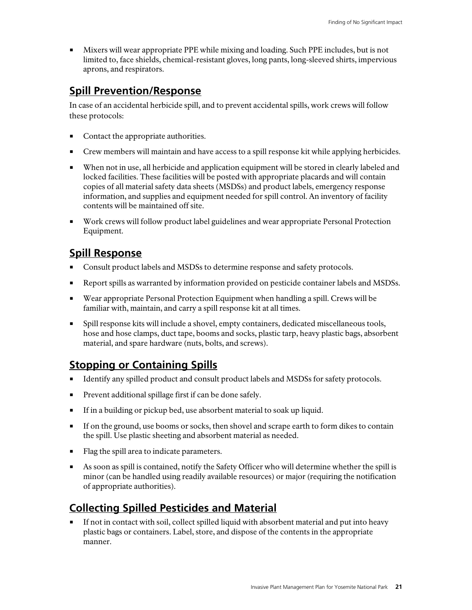Mixers will wear appropriate PPE while mixing and loading. Such PPE includes, but is not limited to, face shields, chemical-resistant gloves, long pants, long-sleeved shirts, impervious aprons, and respirators.

#### **Spill Prevention/Response**

In case of an accidental herbicide spill, and to prevent accidental spills, work crews will follow these protocols:

- Contact the appropriate authorities.
- Crew members will maintain and have access to a spill response kit while applying herbicides.
- When not in use, all herbicide and application equipment will be stored in clearly labeled and locked facilities. These facilities will be posted with appropriate placards and will contain copies of all material safety data sheets (MSDSs) and product labels, emergency response information, and supplies and equipment needed for spill control. An inventory of facility contents will be maintained off site.
- Work crews will follow product label guidelines and wear appropriate Personal Protection Equipment.

### **Spill Response**

- Consult product labels and MSDSs to determine response and safety protocols.
- Report spills as warranted by information provided on pesticide container labels and MSDSs.
- Wear appropriate Personal Protection Equipment when handling a spill. Crews will be familiar with, maintain, and carry a spill response kit at all times.
- Spill response kits will include a shovel, empty containers, dedicated miscellaneous tools, hose and hose clamps, duct tape, booms and socks, plastic tarp, heavy plastic bags, absorbent material, and spare hardware (nuts, bolts, and screws).

## **Stopping or Containing Spills**

- **IDENTIFY Analysis 1** Identify any spilled product and consult product labels and MSDSs for safety protocols.
- **Prevent additional spillage first if can be done safely.**
- If in a building or pickup bed, use absorbent material to soak up liquid.
- If on the ground, use booms or socks, then shovel and scrape earth to form dikes to contain the spill. Use plastic sheeting and absorbent material as needed.
- Flag the spill area to indicate parameters.
- As soon as spill is contained, notify the Safety Officer who will determine whether the spill is minor (can be handled using readily available resources) or major (requiring the notification of appropriate authorities).

### **Collecting Spilled Pesticides and Material**

 If not in contact with soil, collect spilled liquid with absorbent material and put into heavy plastic bags or containers. Label, store, and dispose of the contents in the appropriate manner.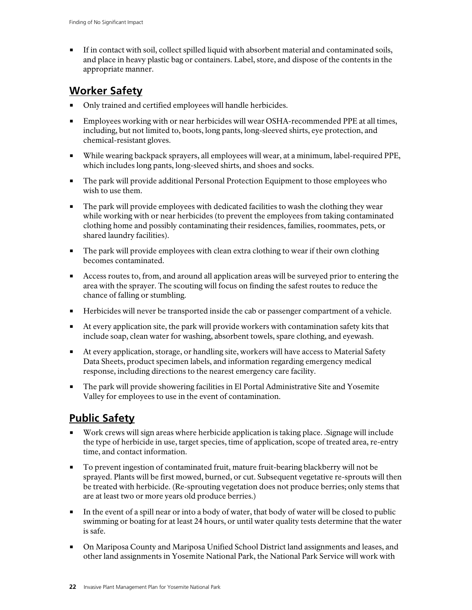If in contact with soil, collect spilled liquid with absorbent material and contaminated soils, and place in heavy plastic bag or containers. Label, store, and dispose of the contents in the appropriate manner.

### **Worker Safety**

- Only trained and certified employees will handle herbicides.
- **Employees working with or near herbicides will wear OSHA-recommended PPE at all times,** including, but not limited to, boots, long pants, long-sleeved shirts, eye protection, and chemical-resistant gloves.
- While wearing backpack sprayers, all employees will wear, at a minimum, label-required PPE, which includes long pants, long-sleeved shirts, and shoes and socks.
- The park will provide additional Personal Protection Equipment to those employees who wish to use them.
- The park will provide employees with dedicated facilities to wash the clothing they wear while working with or near herbicides (to prevent the employees from taking contaminated clothing home and possibly contaminating their residences, families, roommates, pets, or shared laundry facilities).
- **The park will provide employees with clean extra clothing to wear if their own clothing** becomes contaminated.
- Access routes to, from, and around all application areas will be surveyed prior to entering the area with the sprayer. The scouting will focus on finding the safest routes to reduce the chance of falling or stumbling.
- Herbicides will never be transported inside the cab or passenger compartment of a vehicle.
- At every application site, the park will provide workers with contamination safety kits that include soap, clean water for washing, absorbent towels, spare clothing, and eyewash.
- At every application, storage, or handling site, workers will have access to Material Safety Data Sheets, product specimen labels, and information regarding emergency medical response, including directions to the nearest emergency care facility.
- The park will provide showering facilities in El Portal Administrative Site and Yosemite Valley for employees to use in the event of contamination.

## **Public Safety**

- Work crews will sign areas where herbicide application is taking place. .Signage will include the type of herbicide in use, target species, time of application, scope of treated area, re-entry time, and contact information.
- To prevent ingestion of contaminated fruit, mature fruit-bearing blackberry will not be sprayed. Plants will be first mowed, burned, or cut. Subsequent vegetative re-sprouts will then be treated with herbicide. (Re-sprouting vegetation does not produce berries; only stems that are at least two or more years old produce berries.)
- In the event of a spill near or into a body of water, that body of water will be closed to public swimming or boating for at least 24 hours, or until water quality tests determine that the water is safe.
- On Mariposa County and Mariposa Unified School District land assignments and leases, and other land assignments in Yosemite National Park, the National Park Service will work with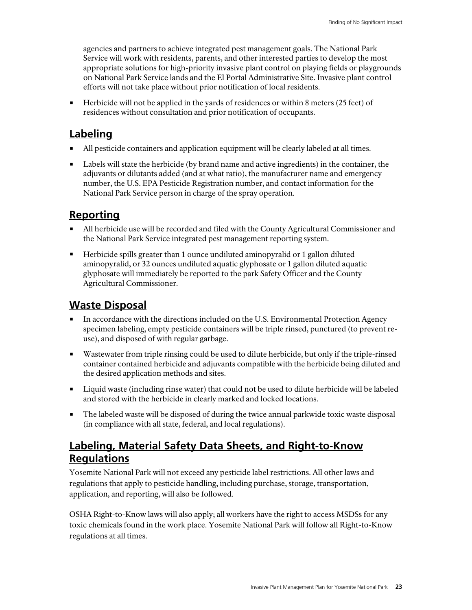agencies and partners to achieve integrated pest management goals. The National Park Service will work with residents, parents, and other interested parties to develop the most appropriate solutions for high-priority invasive plant control on playing fields or playgrounds on National Park Service lands and the El Portal Administrative Site. Invasive plant control efforts will not take place without prior notification of local residents.

 $\blacksquare$  Herbicide will not be applied in the yards of residences or within 8 meters (25 feet) of residences without consultation and prior notification of occupants.

### **Labeling**

- All pesticide containers and application equipment will be clearly labeled at all times.
- **Labels will state the herbicide (by brand name and active ingredients) in the container, the** adjuvants or dilutants added (and at what ratio), the manufacturer name and emergency number, the U.S. EPA Pesticide Registration number, and contact information for the National Park Service person in charge of the spray operation.

### **Reporting**

- All herbicide use will be recorded and filed with the County Agricultural Commissioner and the National Park Service integrated pest management reporting system.
- Herbicide spills greater than 1 ounce undiluted aminopyralid or 1 gallon diluted aminopyralid, or 32 ounces undiluted aquatic glyphosate or 1 gallon diluted aquatic glyphosate will immediately be reported to the park Safety Officer and the County Agricultural Commissioner.

### **Waste Disposal**

- In accordance with the directions included on the U.S. Environmental Protection Agency specimen labeling, empty pesticide containers will be triple rinsed, punctured (to prevent reuse), and disposed of with regular garbage.
- Wastewater from triple rinsing could be used to dilute herbicide, but only if the triple-rinsed container contained herbicide and adjuvants compatible with the herbicide being diluted and the desired application methods and sites.
- Liquid waste (including rinse water) that could not be used to dilute herbicide will be labeled and stored with the herbicide in clearly marked and locked locations.
- The labeled waste will be disposed of during the twice annual parkwide toxic waste disposal (in compliance with all state, federal, and local regulations).

## **Labeling, Material Safety Data Sheets, and Right-to-Know Regulations**

Yosemite National Park will not exceed any pesticide label restrictions. All other laws and regulations that apply to pesticide handling, including purchase, storage, transportation, application, and reporting, will also be followed.

OSHA Right-to-Know laws will also apply; all workers have the right to access MSDSs for any toxic chemicals found in the work place. Yosemite National Park will follow all Right-to-Know regulations at all times.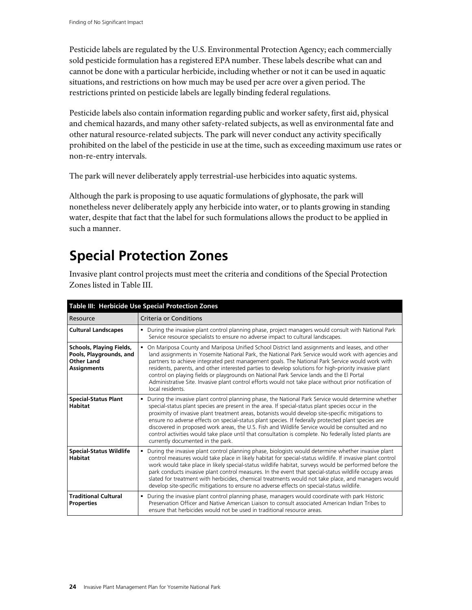Pesticide labels are regulated by the U.S. Environmental Protection Agency; each commercially sold pesticide formulation has a registered EPA number. These labels describe what can and cannot be done with a particular herbicide, including whether or not it can be used in aquatic situations, and restrictions on how much may be used per acre over a given period. The restrictions printed on pesticide labels are legally binding federal regulations.

Pesticide labels also contain information regarding public and worker safety, first aid, physical and chemical hazards, and many other safety-related subjects, as well as environmental fate and other natural resource-related subjects. The park will never conduct any activity specifically prohibited on the label of the pesticide in use at the time, such as exceeding maximum use rates or non-re-entry intervals.

The park will never deliberately apply terrestrial-use herbicides into aquatic systems.

Although the park is proposing to use aquatic formulations of glyphosate, the park will nonetheless never deliberately apply any herbicide into water, or to plants growing in standing water, despite that fact that the label for such formulations allows the product to be applied in such a manner.

## **Special Protection Zones**

Invasive plant control projects must meet the criteria and conditions of the Special Protection Zones listed in Table III.

| Table III: Herbicide Use Special Protection Zones                                              |                                                                                                                                                                                                                                                                                                                                                                                                                                                                                                                                                                                                                                                                            |  |
|------------------------------------------------------------------------------------------------|----------------------------------------------------------------------------------------------------------------------------------------------------------------------------------------------------------------------------------------------------------------------------------------------------------------------------------------------------------------------------------------------------------------------------------------------------------------------------------------------------------------------------------------------------------------------------------------------------------------------------------------------------------------------------|--|
| Resource                                                                                       | Criteria or Conditions                                                                                                                                                                                                                                                                                                                                                                                                                                                                                                                                                                                                                                                     |  |
| <b>Cultural Landscapes</b>                                                                     | • During the invasive plant control planning phase, project managers would consult with National Park<br>Service resource specialists to ensure no adverse impact to cultural landscapes.                                                                                                                                                                                                                                                                                                                                                                                                                                                                                  |  |
| Schools, Playing Fields,<br>Pools, Playgrounds, and<br><b>Other Land</b><br><b>Assignments</b> | • On Mariposa County and Mariposa Unified School District land assignments and leases, and other<br>land assignments in Yosemite National Park, the National Park Service would work with agencies and<br>partners to achieve integrated pest management goals. The National Park Service would work with<br>residents, parents, and other interested parties to develop solutions for high-priority invasive plant<br>control on playing fields or playgrounds on National Park Service lands and the El Portal<br>Administrative Site. Invasive plant control efforts would not take place without prior notification of<br>local residents.                             |  |
| <b>Special-Status Plant</b><br><b>Habitat</b>                                                  | • During the invasive plant control planning phase, the National Park Service would determine whether<br>special-status plant species are present in the area. If special-status plant species occur in the<br>proximity of invasive plant treatment areas, botanists would develop site-specific mitigations to<br>ensure no adverse effects on special-status plant species. If federally protected plant species are<br>discovered in proposed work areas, the U.S. Fish and Wildlife Service would be consulted and no<br>control activities would take place until that consultation is complete. No federally listed plants are<br>currently documented in the park. |  |
| <b>Special-Status Wildlife</b><br><b>Habitat</b>                                               | " During the invasive plant control planning phase, biologists would determine whether invasive plant<br>control measures would take place in likely habitat for special-status wildlife. If invasive plant control<br>work would take place in likely special-status wildlife habitat, surveys would be performed before the<br>park conducts invasive plant control measures. In the event that special-status wildlife occupy areas<br>slated for treatment with herbicides, chemical treatments would not take place, and managers would<br>develop site-specific mitigations to ensure no adverse effects on special-status wildlife.                                 |  |
| <b>Traditional Cultural</b><br><b>Properties</b>                                               | • During the invasive plant control planning phase, managers would coordinate with park Historic<br>Preservation Officer and Native American Liaison to consult associated American Indian Tribes to<br>ensure that herbicides would not be used in traditional resource areas.                                                                                                                                                                                                                                                                                                                                                                                            |  |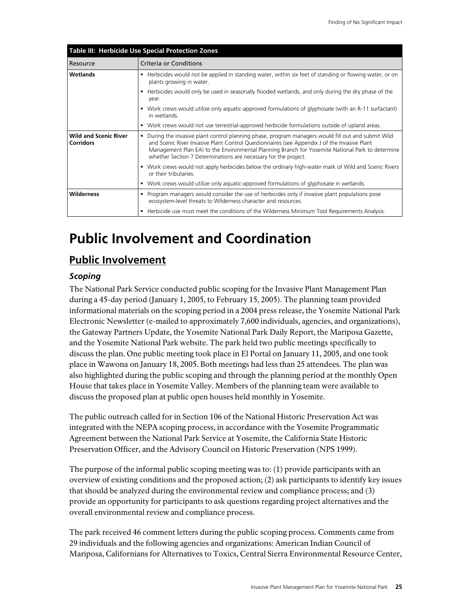| Table III: Herbicide Use Special Protection Zones |                                                                                                                                                                                                                                                                                                                                                                            |  |
|---------------------------------------------------|----------------------------------------------------------------------------------------------------------------------------------------------------------------------------------------------------------------------------------------------------------------------------------------------------------------------------------------------------------------------------|--|
| Resource                                          | Criteria or Conditions                                                                                                                                                                                                                                                                                                                                                     |  |
| Wetlands                                          | • Herbicides would not be applied in standing water, within six feet of standing or flowing water, or on<br>plants growing in water.                                                                                                                                                                                                                                       |  |
|                                                   | • Herbicides would only be used in seasonally flooded wetlands, and only during the dry phase of the<br>year.                                                                                                                                                                                                                                                              |  |
|                                                   | • Work crews would utilize only aquatic-approved formulations of glyphosate (with an R-11 surfactant)<br>in wetlands.                                                                                                                                                                                                                                                      |  |
|                                                   | • Work crews would not use terrestrial-approved herbicide formulations outside of upland areas.                                                                                                                                                                                                                                                                            |  |
| <b>Wild and Scenic River</b><br><b>Corridors</b>  | • During the invasive plant control planning phase, program managers would fill out and submit Wild<br>and Scenic River Invasive Plant Control Questionnaires (see Appendix J of the Invasive Plant<br>Management Plan EA) to the Environmental Planning Branch for Yosemite National Park to determine<br>whether Section 7 Determinations are necessary for the project. |  |
|                                                   | • Work crews would not apply herbicides below the ordinary high-water mark of Wild and Scenic Rivers<br>or their tributaries.                                                                                                                                                                                                                                              |  |
|                                                   | • Work crews would utilize only aquatic-approved formulations of glyphosate in wetlands.                                                                                                                                                                                                                                                                                   |  |
| <b>Wilderness</b>                                 | • Program managers would consider the use of herbicides only if invasive plant populations pose<br>ecosystem-level threats to Wilderness character and resources.                                                                                                                                                                                                          |  |
|                                                   | • Herbicide use must meet the conditions of the Wilderness Minimum Tool Requirements Analysis.                                                                                                                                                                                                                                                                             |  |

## **Public Involvement and Coordination**

### **Public Involvement**

#### *Scoping*

The National Park Service conducted public scoping for the Invasive Plant Management Plan during a 45-day period (January 1, 2005, to February 15, 2005). The planning team provided informational materials on the scoping period in a 2004 press release, the Yosemite National Park Electronic Newsletter (e-mailed to approximately 7,600 individuals, agencies, and organizations), the Gateway Partners Update, the Yosemite National Park Daily Report, the Mariposa Gazette, and the Yosemite National Park website. The park held two public meetings specifically to discuss the plan. One public meeting took place in El Portal on January 11, 2005, and one took place in Wawona on January 18, 2005. Both meetings had less than 25 attendees. The plan was also highlighted during the public scoping and through the planning period at the monthly Open House that takes place in Yosemite Valley. Members of the planning team were available to discuss the proposed plan at public open houses held monthly in Yosemite.

The public outreach called for in Section 106 of the National Historic Preservation Act was integrated with the NEPA scoping process, in accordance with the Yosemite Programmatic Agreement between the National Park Service at Yosemite, the California State Historic Preservation Officer, and the Advisory Council on Historic Preservation (NPS 1999).

The purpose of the informal public scoping meeting was to: (1) provide participants with an overview of existing conditions and the proposed action; (2) ask participants to identify key issues that should be analyzed during the environmental review and compliance process; and (3) provide an opportunity for participants to ask questions regarding project alternatives and the overall environmental review and compliance process.

The park received 46 comment letters during the public scoping process. Comments came from 29 individuals and the following agencies and organizations: American Indian Council of Mariposa, Californians for Alternatives to Toxics, Central Sierra Environmental Resource Center,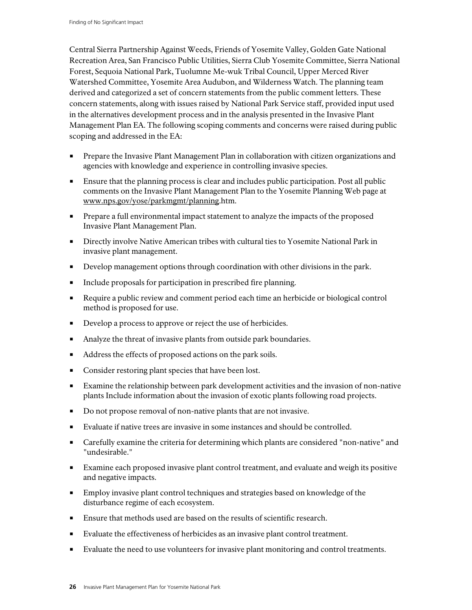Central Sierra Partnership Against Weeds, Friends of Yosemite Valley, Golden Gate National Recreation Area, San Francisco Public Utilities, Sierra Club Yosemite Committee, Sierra National Forest, Sequoia National Park, Tuolumne Me-wuk Tribal Council, Upper Merced River Watershed Committee, Yosemite Area Audubon, and Wilderness Watch. The planning team derived and categorized a set of concern statements from the public comment letters. These concern statements, along with issues raised by National Park Service staff, provided input used in the alternatives development process and in the analysis presented in the Invasive Plant Management Plan EA. The following scoping comments and concerns were raised during public scoping and addressed in the EA:

- Prepare the Invasive Plant Management Plan in collaboration with citizen organizations and agencies with knowledge and experience in controlling invasive species.
- Ensure that the planning process is clear and includes public participation. Post all public comments on the Invasive Plant Management Plan to the Yosemite Planning Web page at www.nps.gov/yose/parkmgmt/planning.htm.
- **Prepare a full environmental impact statement to analyze the impacts of the proposed** Invasive Plant Management Plan.
- Directly involve Native American tribes with cultural ties to Yosemite National Park in invasive plant management.
- Develop management options through coordination with other divisions in the park.
- Include proposals for participation in prescribed fire planning.
- Require a public review and comment period each time an herbicide or biological control method is proposed for use.
- Develop a process to approve or reject the use of herbicides.
- Analyze the threat of invasive plants from outside park boundaries.
- Address the effects of proposed actions on the park soils.
- **Consider restoring plant species that have been lost.**
- Examine the relationship between park development activities and the invasion of non-native plants Include information about the invasion of exotic plants following road projects.
- Do not propose removal of non-native plants that are not invasive.
- Evaluate if native trees are invasive in some instances and should be controlled.
- Carefully examine the criteria for determining which plants are considered "non-native" and "undesirable."
- Examine each proposed invasive plant control treatment, and evaluate and weigh its positive and negative impacts.
- **Employ invasive plant control techniques and strategies based on knowledge of the** disturbance regime of each ecosystem.
- Ensure that methods used are based on the results of scientific research.
- Evaluate the effectiveness of herbicides as an invasive plant control treatment.
- Evaluate the need to use volunteers for invasive plant monitoring and control treatments.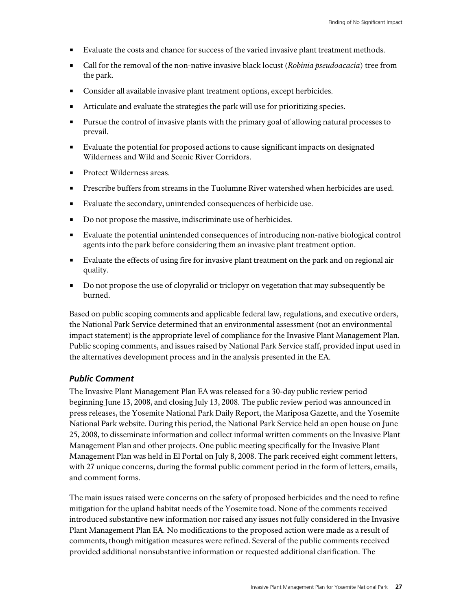- Evaluate the costs and chance for success of the varied invasive plant treatment methods.
- Call for the removal of the non-native invasive black locust (*Robinia pseudoacacia*) tree from the park.
- Consider all available invasive plant treatment options, except herbicides.
- Articulate and evaluate the strategies the park will use for prioritizing species.
- **Pursue the control of invasive plants with the primary goal of allowing natural processes to** prevail.
- Evaluate the potential for proposed actions to cause significant impacts on designated Wilderness and Wild and Scenic River Corridors.
- Protect Wilderness areas.
- Prescribe buffers from streams in the Tuolumne River watershed when herbicides are used.
- Evaluate the secondary, unintended consequences of herbicide use.
- Do not propose the massive, indiscriminate use of herbicides.
- Evaluate the potential unintended consequences of introducing non-native biological control agents into the park before considering them an invasive plant treatment option.
- Evaluate the effects of using fire for invasive plant treatment on the park and on regional air quality.
- Do not propose the use of clopyralid or triclopyr on vegetation that may subsequently be burned.

Based on public scoping comments and applicable federal law, regulations, and executive orders, the National Park Service determined that an environmental assessment (not an environmental impact statement) is the appropriate level of compliance for the Invasive Plant Management Plan. Public scoping comments, and issues raised by National Park Service staff, provided input used in the alternatives development process and in the analysis presented in the EA.

#### *Public Comment*

The Invasive Plant Management Plan EA was released for a 30-day public review period beginning June 13, 2008, and closing July 13, 2008. The public review period was announced in press releases, the Yosemite National Park Daily Report, the Mariposa Gazette, and the Yosemite National Park website. During this period, the National Park Service held an open house on June 25, 2008, to disseminate information and collect informal written comments on the Invasive Plant Management Plan and other projects. One public meeting specifically for the Invasive Plant Management Plan was held in El Portal on July 8, 2008. The park received eight comment letters, with 27 unique concerns, during the formal public comment period in the form of letters, emails, and comment forms.

The main issues raised were concerns on the safety of proposed herbicides and the need to refine mitigation for the upland habitat needs of the Yosemite toad. None of the comments received introduced substantive new information nor raised any issues not fully considered in the Invasive Plant Management Plan EA*.* No modifications to the proposed action were made as a result of comments, though mitigation measures were refined. Several of the public comments received provided additional nonsubstantive information or requested additional clarification. The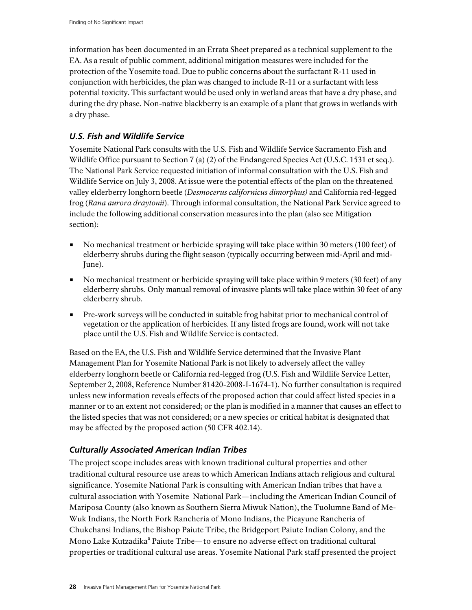information has been documented in an Errata Sheet prepared as a technical supplement to the EA. As a result of public comment, additional mitigation measures were included for the protection of the Yosemite toad. Due to public concerns about the surfactant R-11 used in conjunction with herbicides, the plan was changed to include R-11 or a surfactant with less potential toxicity. This surfactant would be used only in wetland areas that have a dry phase, and during the dry phase. Non-native blackberry is an example of a plant that grows in wetlands with a dry phase.

#### *U.S. Fish and Wildlife Service*

Yosemite National Park consults with the U.S. Fish and Wildlife Service Sacramento Fish and Wildlife Office pursuant to Section 7 (a) (2) of the Endangered Species Act (U.S.C. 1531 et seq.). The National Park Service requested initiation of informal consultation with the U.S. Fish and Wildlife Service on July 3, 2008. At issue were the potential effects of the plan on the threatened valley elderberry longhorn beetle (*Desmocerus californicus dimorphus)* and California red-legged frog (*Rana aurora draytonii*). Through informal consultation, the National Park Service agreed to include the following additional conservation measures into the plan (also see Mitigation section):

- No mechanical treatment or herbicide spraying will take place within 30 meters (100 feet) of elderberry shrubs during the flight season (typically occurring between mid-April and mid-June).
- No mechanical treatment or herbicide spraying will take place within 9 meters (30 feet) of any elderberry shrubs. Only manual removal of invasive plants will take place within 30 feet of any elderberry shrub.
- Pre-work surveys will be conducted in suitable frog habitat prior to mechanical control of vegetation or the application of herbicides. If any listed frogs are found, work will not take place until the U.S. Fish and Wildlife Service is contacted.

Based on the EA, the U.S. Fish and Wildlife Service determined that the Invasive Plant Management Plan for Yosemite National Park is not likely to adversely affect the valley elderberry longhorn beetle or California red-legged frog (U.S. Fish and Wildlife Service Letter, September 2, 2008, Reference Number 81420-2008-I-1674-1). No further consultation is required unless new information reveals effects of the proposed action that could affect listed species in a manner or to an extent not considered; or the plan is modified in a manner that causes an effect to the listed species that was not considered; or a new species or critical habitat is designated that may be affected by the proposed action (50 CFR 402.14).

#### *Culturally Associated American Indian Tribes*

The project scope includes areas with known traditional cultural properties and other traditional cultural resource use areas to which American Indians attach religious and cultural significance. Yosemite National Park is consulting with American Indian tribes that have a cultural association with Yosemite National Park—including the American Indian Council of Mariposa County (also known as Southern Sierra Miwuk Nation), the Tuolumne Band of Me-Wuk Indians, the North Fork Rancheria of Mono Indians, the Picayune Rancheria of Chukchansi Indians, the Bishop Paiute Tribe, the Bridgeport Paiute Indian Colony, and the Mono Lake Kutzadika<sup>a</sup> Paiute Tribe—to ensure no adverse effect on traditional cultural properties or traditional cultural use areas. Yosemite National Park staff presented the project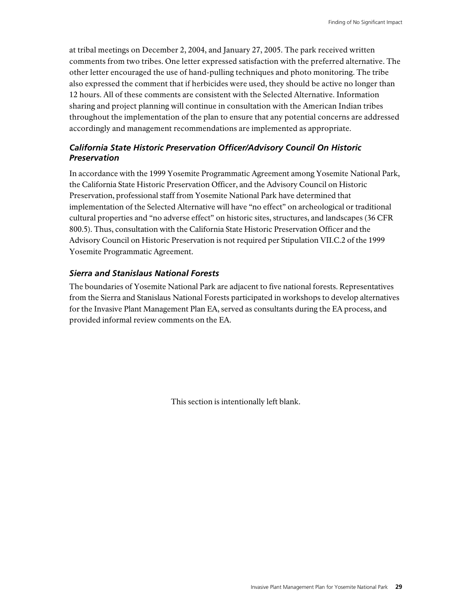at tribal meetings on December 2, 2004, and January 27, 2005. The park received written comments from two tribes. One letter expressed satisfaction with the preferred alternative. The other letter encouraged the use of hand-pulling techniques and photo monitoring. The tribe also expressed the comment that if herbicides were used, they should be active no longer than 12 hours. All of these comments are consistent with the Selected Alternative. Information sharing and project planning will continue in consultation with the American Indian tribes throughout the implementation of the plan to ensure that any potential concerns are addressed accordingly and management recommendations are implemented as appropriate.

#### *California State Historic Preservation Officer/Advisory Council On Historic Preservation*

In accordance with the 1999 Yosemite Programmatic Agreement among Yosemite National Park, the California State Historic Preservation Officer, and the Advisory Council on Historic Preservation, professional staff from Yosemite National Park have determined that implementation of the Selected Alternative will have "no effect" on archeological or traditional cultural properties and "no adverse effect" on historic sites, structures, and landscapes (36 CFR 800.5). Thus, consultation with the California State Historic Preservation Officer and the Advisory Council on Historic Preservation is not required per Stipulation VII.C.2 of the 1999 Yosemite Programmatic Agreement.

#### *Sierra and Stanislaus National Forests*

The boundaries of Yosemite National Park are adjacent to five national forests. Representatives from the Sierra and Stanislaus National Forests participated in workshops to develop alternatives for the Invasive Plant Management Plan EA, served as consultants during the EA process, and provided informal review comments on the EA.

This section is intentionally left blank.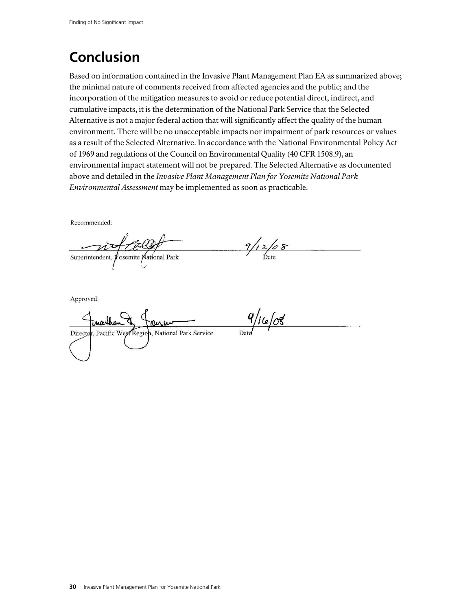## **Conclusion**

Based on information contained in the Invasive Plant Management Plan EA as summarized above; the minimal nature of comments received from affected agencies and the public; and the incorporation of the mitigation measures to avoid or reduce potential direct, indirect, and cumulative impacts, it is the determination of the National Park Service that the Selected Alternative is not a major federal action that will significantly affect the quality of the human environment. There will be no unacceptable impacts nor impairment of park resources or values as a result of the Selected Alternative. In accordance with the National Environmental Policy Act of 1969 and regulations of the Council on Environmental Quality (40 CFR 1508.9), an environmental impact statement will not be prepared. The Selected Alternative as documented above and detailed in the *Invasive Plant Management Plan for Yosemite National Park Environmental Assessment* may be implemented as soon as practicable.

Recommended:

 $9/12/68$ Superintendent, Yosemite National Park

Approved:

 $9/16/08$ marthan Director, Pacific West Region, National Park Service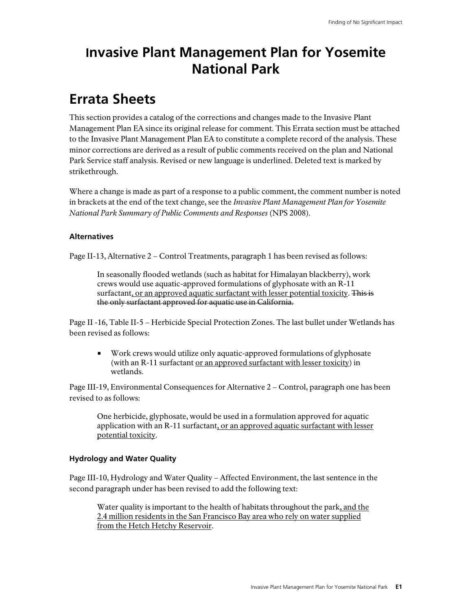## **Invasive Plant Management Plan for Yosemite National Park**

## **Errata Sheets**

This section provides a catalog of the corrections and changes made to the Invasive Plant Management Plan EA since its original release for comment. This Errata section must be attached to the Invasive Plant Management Plan EA to constitute a complete record of the analysis. These minor corrections are derived as a result of public comments received on the plan and National Park Service staff analysis. Revised or new language is underlined. Deleted text is marked by strikethrough.

Where a change is made as part of a response to a public comment, the comment number is noted in brackets at the end of the text change, see the *Invasive Plant Management Plan for Yosemite National Park Summary of Public Comments and Responses* (NPS 2008).

#### **Alternatives**

Page II-13, Alternative 2 – Control Treatments, paragraph 1 has been revised as follows:

In seasonally flooded wetlands (such as habitat for Himalayan blackberry), work crews would use aquatic-approved formulations of glyphosate with an R-11 surfactant, or an approved aquatic surfactant with lesser potential toxicity. This is the only surfactant approved for aquatic use in California.

Page II -16, Table II-5 – Herbicide Special Protection Zones. The last bullet under Wetlands has been revised as follows:

 Work crews would utilize only aquatic-approved formulations of glyphosate (with an R-11 surfactant or an approved surfactant with lesser toxicity) in wetlands.

Page III-19, Environmental Consequences for Alternative 2 – Control, paragraph one has been revised to as follows:

One herbicide, glyphosate, would be used in a formulation approved for aquatic application with an R-11 surfactant, or an approved aquatic surfactant with lesser potential toxicity.

#### **Hydrology and Water Quality**

Page III-10, Hydrology and Water Quality – Affected Environment, the last sentence in the second paragraph under has been revised to add the following text:

Water quality is important to the health of habitats throughout the park, and the 2.4 million residents in the San Francisco Bay area who rely on water supplied from the Hetch Hetchy Reservoir.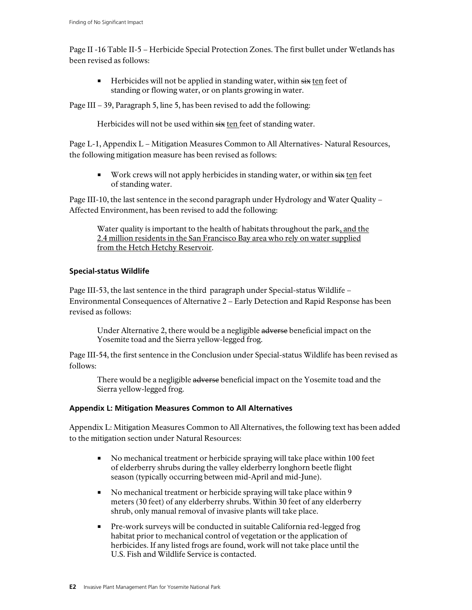Page II -16 Table II-5 – Herbicide Special Protection Zones. The first bullet under Wetlands has been revised as follows:

 $\blacksquare$  Herbicides will not be applied in standing water, within  $s\ddot{x}$  ten feet of standing or flowing water, or on plants growing in water.

Page III – 39, Paragraph 5, line 5, has been revised to add the following:

Herbicides will not be used within six ten feet of standing water.

Page L-1, Appendix L – Mitigation Measures Common to All Alternatives- Natural Resources, the following mitigation measure has been revised as follows:

Work crews will not apply herbicides in standing water, or within  $\frac{1}{x}$  ten feet of standing water.

Page III-10, the last sentence in the second paragraph under Hydrology and Water Quality – Affected Environment, has been revised to add the following:

Water quality is important to the health of habitats throughout the park, and the 2.4 million residents in the San Francisco Bay area who rely on water supplied from the Hetch Hetchy Reservoir.

#### **Special-status Wildlife**

Page III-53, the last sentence in the third paragraph under Special-status Wildlife – Environmental Consequences of Alternative 2 – Early Detection and Rapid Response has been revised as follows:

Under Alternative 2, there would be a negligible adverse beneficial impact on the Yosemite toad and the Sierra yellow-legged frog.

Page III-54, the first sentence in the Conclusion under Special-status Wildlife has been revised as follows:

There would be a negligible adverse beneficial impact on the Yosemite toad and the Sierra yellow-legged frog.

#### **Appendix L: Mitigation Measures Common to All Alternatives**

Appendix L: Mitigation Measures Common to All Alternatives, the following text has been added to the mitigation section under Natural Resources:

- No mechanical treatment or herbicide spraying will take place within 100 feet of elderberry shrubs during the valley elderberry longhorn beetle flight season (typically occurring between mid-April and mid-June).
- No mechanical treatment or herbicide spraying will take place within 9 meters (30 feet) of any elderberry shrubs. Within 30 feet of any elderberry shrub, only manual removal of invasive plants will take place.
- Pre-work surveys will be conducted in suitable California red-legged frog habitat prior to mechanical control of vegetation or the application of herbicides. If any listed frogs are found, work will not take place until the U.S. Fish and Wildlife Service is contacted.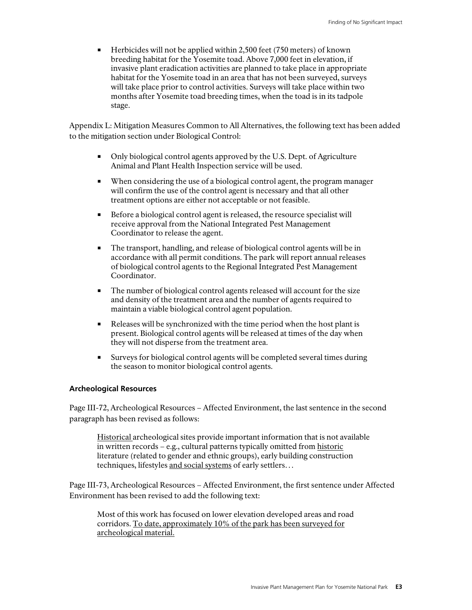$\blacksquare$  Herbicides will not be applied within 2,500 feet (750 meters) of known breeding habitat for the Yosemite toad. Above 7,000 feet in elevation, if invasive plant eradication activities are planned to take place in appropriate habitat for the Yosemite toad in an area that has not been surveyed, surveys will take place prior to control activities. Surveys will take place within two months after Yosemite toad breeding times, when the toad is in its tadpole stage.

Appendix L: Mitigation Measures Common to All Alternatives, the following text has been added to the mitigation section under Biological Control:

- Only biological control agents approved by the U.S. Dept. of Agriculture Animal and Plant Health Inspection service will be used.
- When considering the use of a biological control agent, the program manager will confirm the use of the control agent is necessary and that all other treatment options are either not acceptable or not feasible.
- Before a biological control agent is released, the resource specialist will receive approval from the National Integrated Pest Management Coordinator to release the agent.
- The transport, handling, and release of biological control agents will be in accordance with all permit conditions. The park will report annual releases of biological control agents to the Regional Integrated Pest Management Coordinator.
- The number of biological control agents released will account for the size and density of the treatment area and the number of agents required to maintain a viable biological control agent population.
- Releases will be synchronized with the time period when the host plant is present. Biological control agents will be released at times of the day when they will not disperse from the treatment area.
- Surveys for biological control agents will be completed several times during the season to monitor biological control agents.

#### **Archeological Resources**

Page III-72, Archeological Resources – Affected Environment, the last sentence in the second paragraph has been revised as follows:

Historical archeological sites provide important information that is not available in written records – e.g., cultural patterns typically omitted from historic literature (related to gender and ethnic groups), early building construction techniques, lifestyles and social systems of early settlers…

Page III-73, Archeological Resources – Affected Environment, the first sentence under Affected Environment has been revised to add the following text:

Most of this work has focused on lower elevation developed areas and road corridors. To date, approximately 10% of the park has been surveyed for archeological material.